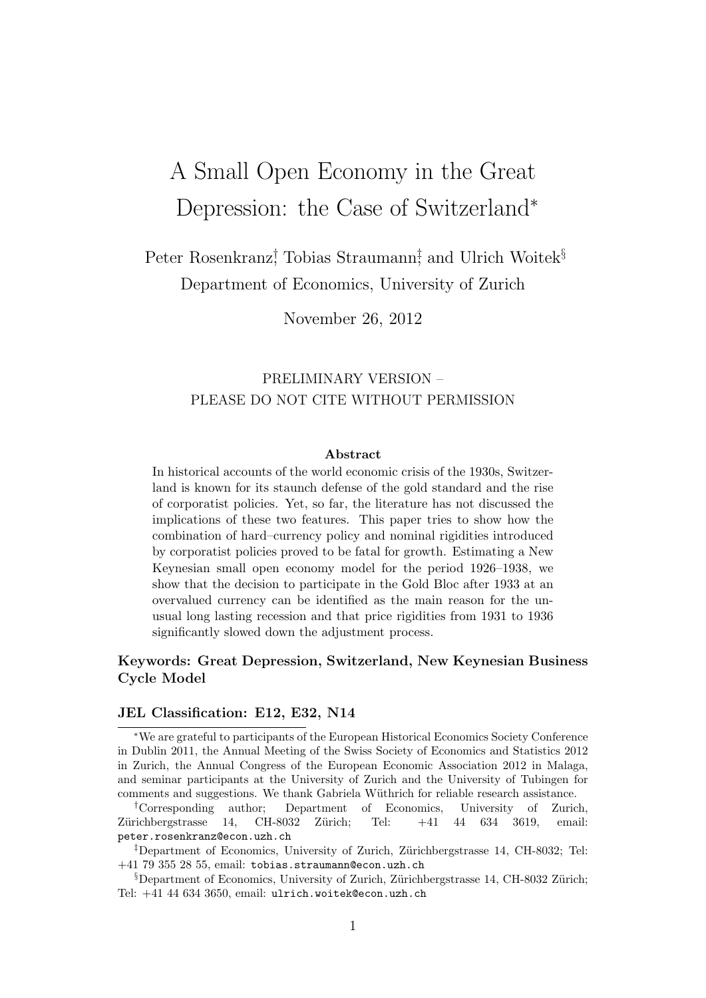# A Small Open Economy in the Great Depression: the Case of Switzerland<sup>∗</sup>

Peter Rosenkranz<sup>†</sup>, Tobias Straumann<sup>‡</sup>, and Ulrich Woitek<sup>§</sup> Department of Economics, University of Zurich

November 26, 2012

### PRELIMINARY VERSION – PLEASE DO NOT CITE WITHOUT PERMISSION

#### Abstract

In historical accounts of the world economic crisis of the 1930s, Switzerland is known for its staunch defense of the gold standard and the rise of corporatist policies. Yet, so far, the literature has not discussed the implications of these two features. This paper tries to show how the combination of hard–currency policy and nominal rigidities introduced by corporatist policies proved to be fatal for growth. Estimating a New Keynesian small open economy model for the period 1926–1938, we show that the decision to participate in the Gold Bloc after 1933 at an overvalued currency can be identified as the main reason for the unusual long lasting recession and that price rigidities from 1931 to 1936 significantly slowed down the adjustment process.

#### Keywords: Great Depression, Switzerland, New Keynesian Business Cycle Model

#### JEL Classification: E12, E32, N14

<sup>∗</sup>We are grateful to participants of the European Historical Economics Society Conference in Dublin 2011, the Annual Meeting of the Swiss Society of Economics and Statistics 2012 in Zurich, the Annual Congress of the European Economic Association 2012 in Malaga, and seminar participants at the University of Zurich and the University of Tubingen for comments and suggestions. We thank Gabriela W¨uthrich for reliable research assistance.

†Corresponding author; Department of Economics, University of Zurich, Zürichbergstrasse 14, CH-8032 Zürich; Tel:  $+41$  44 634 3619, email: peter.rosenkranz@econ.uzh.ch

<sup>‡</sup>Department of Economics, University of Zurich, Zürichbergstrasse 14, CH-8032; Tel: +41 79 355 28 55, email: tobias.straumann@econ.uzh.ch

 $\S$ Department of Economics, University of Zurich, Zürichbergstrasse 14, CH-8032 Zürich; Tel: +41 44 634 3650, email: ulrich.woitek@econ.uzh.ch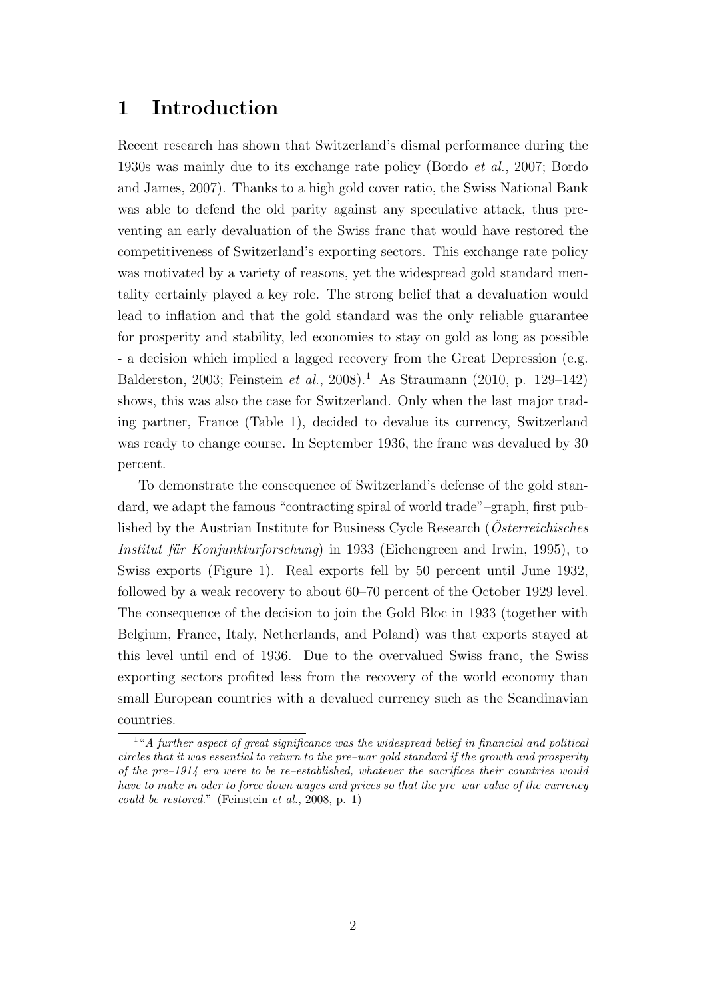## 1 Introduction

Recent research has shown that Switzerland's dismal performance during the 1930s was mainly due to its exchange rate policy (Bordo et al., 2007; Bordo and James, 2007). Thanks to a high gold cover ratio, the Swiss National Bank was able to defend the old parity against any speculative attack, thus preventing an early devaluation of the Swiss franc that would have restored the competitiveness of Switzerland's exporting sectors. This exchange rate policy was motivated by a variety of reasons, yet the widespread gold standard mentality certainly played a key role. The strong belief that a devaluation would lead to inflation and that the gold standard was the only reliable guarantee for prosperity and stability, led economies to stay on gold as long as possible - a decision which implied a lagged recovery from the Great Depression (e.g. Balderston, 2003; Feinstein et al., 2008).<sup>1</sup> As Straumann (2010, p. 129–142) shows, this was also the case for Switzerland. Only when the last major trading partner, France (Table 1), decided to devalue its currency, Switzerland was ready to change course. In September 1936, the franc was devalued by 30 percent.

To demonstrate the consequence of Switzerland's defense of the gold standard, we adapt the famous "contracting spiral of world trade"–graph, first published by the Austrian Institute for Business Cycle Research ( $\ddot{O}$ sterreichisches Institut für Konjunkturforschung) in 1933 (Eichengreen and Irwin, 1995), to Swiss exports (Figure 1). Real exports fell by 50 percent until June 1932, followed by a weak recovery to about 60–70 percent of the October 1929 level. The consequence of the decision to join the Gold Bloc in 1933 (together with Belgium, France, Italy, Netherlands, and Poland) was that exports stayed at this level until end of 1936. Due to the overvalued Swiss franc, the Swiss exporting sectors profited less from the recovery of the world economy than small European countries with a devalued currency such as the Scandinavian countries.

 $1"A$  further aspect of great significance was the widespread belief in financial and political circles that it was essential to return to the pre–war gold standard if the growth and prosperity of the pre–1914 era were to be re–established, whatever the sacrifices their countries would have to make in oder to force down wages and prices so that the pre–war value of the currency could be restored." (Feinstein et al., 2008, p. 1)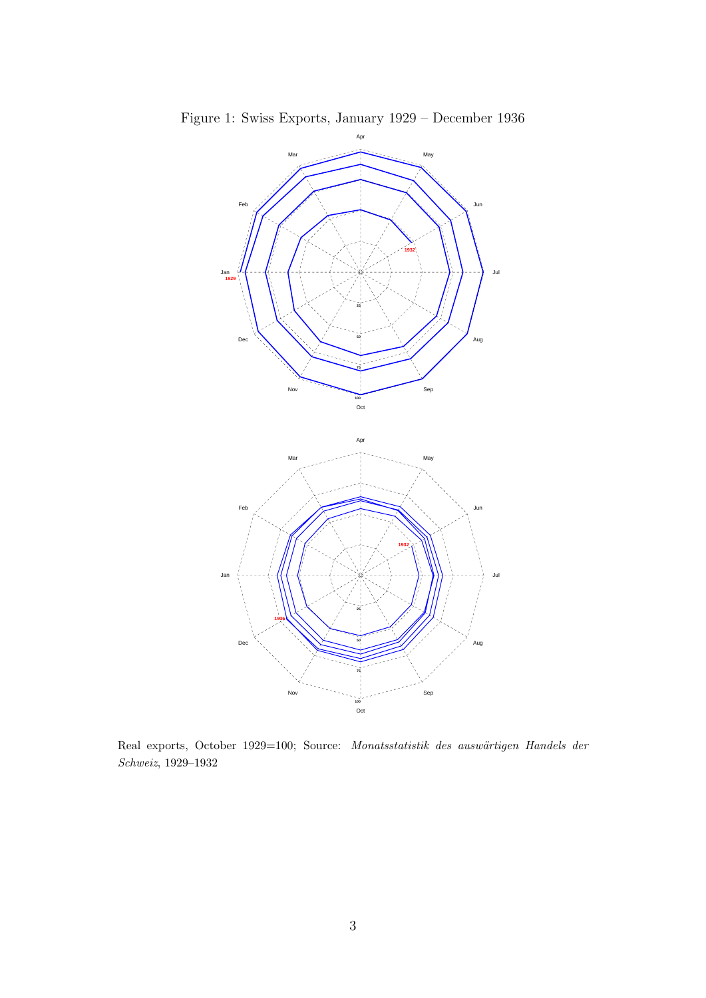

Figure 1: Swiss Exports, January 1929 – December 1936

Real exports, October 1929=100; Source: Monatsstatistik des auswärtigen Handels der Schweiz, 1929–1932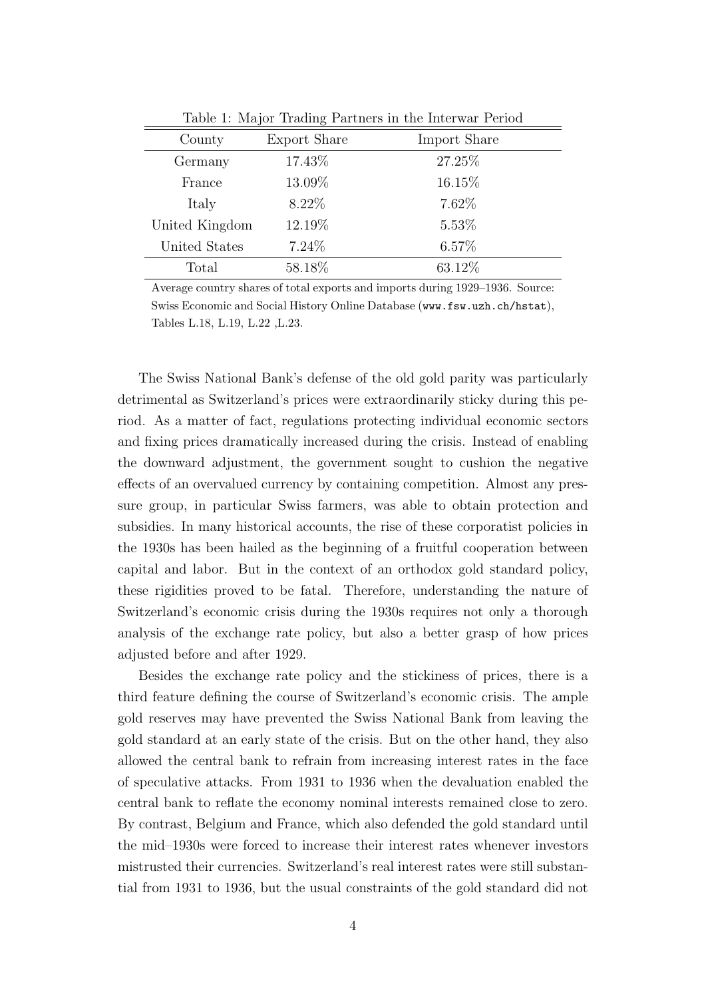| County         | Export Share | Import Share |  |  |
|----------------|--------------|--------------|--|--|
| Germany        | 17.43%       | 27.25%       |  |  |
| France         | 13.09%       | 16.15%       |  |  |
| Italy          | 8.22\%       | 7.62%        |  |  |
| United Kingdom | 12.19%       | 5.53%        |  |  |
| United States  | 7.24\%       | 6.57%        |  |  |
| Total          | 58.18%       | 63.12%       |  |  |

Table 1: Major Trading Partners in the Interwar Period

Average country shares of total exports and imports during 1929–1936. Source: Swiss Economic and Social History Online Database (www.fsw.uzh.ch/hstat), Tables L.18, L.19, L.22 ,L.23.

The Swiss National Bank's defense of the old gold parity was particularly detrimental as Switzerland's prices were extraordinarily sticky during this period. As a matter of fact, regulations protecting individual economic sectors and fixing prices dramatically increased during the crisis. Instead of enabling the downward adjustment, the government sought to cushion the negative effects of an overvalued currency by containing competition. Almost any pressure group, in particular Swiss farmers, was able to obtain protection and subsidies. In many historical accounts, the rise of these corporatist policies in the 1930s has been hailed as the beginning of a fruitful cooperation between capital and labor. But in the context of an orthodox gold standard policy, these rigidities proved to be fatal. Therefore, understanding the nature of Switzerland's economic crisis during the 1930s requires not only a thorough analysis of the exchange rate policy, but also a better grasp of how prices adjusted before and after 1929.

Besides the exchange rate policy and the stickiness of prices, there is a third feature defining the course of Switzerland's economic crisis. The ample gold reserves may have prevented the Swiss National Bank from leaving the gold standard at an early state of the crisis. But on the other hand, they also allowed the central bank to refrain from increasing interest rates in the face of speculative attacks. From 1931 to 1936 when the devaluation enabled the central bank to reflate the economy nominal interests remained close to zero. By contrast, Belgium and France, which also defended the gold standard until the mid–1930s were forced to increase their interest rates whenever investors mistrusted their currencies. Switzerland's real interest rates were still substantial from 1931 to 1936, but the usual constraints of the gold standard did not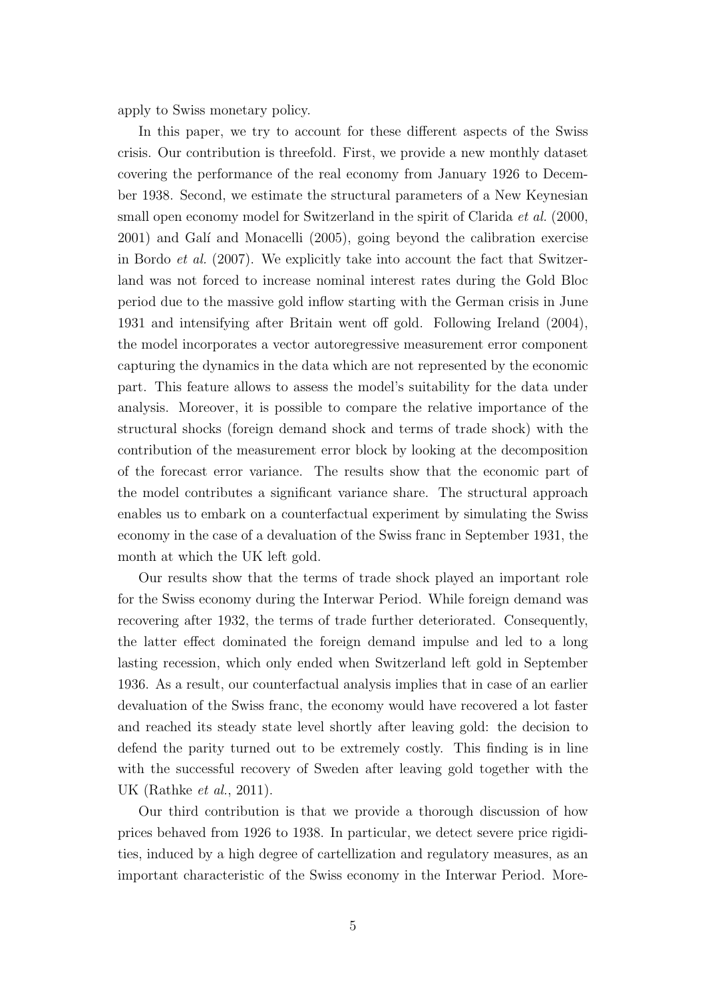apply to Swiss monetary policy.

In this paper, we try to account for these different aspects of the Swiss crisis. Our contribution is threefold. First, we provide a new monthly dataset covering the performance of the real economy from January 1926 to December 1938. Second, we estimate the structural parameters of a New Keynesian small open economy model for Switzerland in the spirit of Clarida et al. (2000, 2001) and Gal´ı and Monacelli (2005), going beyond the calibration exercise in Bordo et al. (2007). We explicitly take into account the fact that Switzerland was not forced to increase nominal interest rates during the Gold Bloc period due to the massive gold inflow starting with the German crisis in June 1931 and intensifying after Britain went off gold. Following Ireland (2004), the model incorporates a vector autoregressive measurement error component capturing the dynamics in the data which are not represented by the economic part. This feature allows to assess the model's suitability for the data under analysis. Moreover, it is possible to compare the relative importance of the structural shocks (foreign demand shock and terms of trade shock) with the contribution of the measurement error block by looking at the decomposition of the forecast error variance. The results show that the economic part of the model contributes a significant variance share. The structural approach enables us to embark on a counterfactual experiment by simulating the Swiss economy in the case of a devaluation of the Swiss franc in September 1931, the month at which the UK left gold.

Our results show that the terms of trade shock played an important role for the Swiss economy during the Interwar Period. While foreign demand was recovering after 1932, the terms of trade further deteriorated. Consequently, the latter effect dominated the foreign demand impulse and led to a long lasting recession, which only ended when Switzerland left gold in September 1936. As a result, our counterfactual analysis implies that in case of an earlier devaluation of the Swiss franc, the economy would have recovered a lot faster and reached its steady state level shortly after leaving gold: the decision to defend the parity turned out to be extremely costly. This finding is in line with the successful recovery of Sweden after leaving gold together with the UK (Rathke et al., 2011).

Our third contribution is that we provide a thorough discussion of how prices behaved from 1926 to 1938. In particular, we detect severe price rigidities, induced by a high degree of cartellization and regulatory measures, as an important characteristic of the Swiss economy in the Interwar Period. More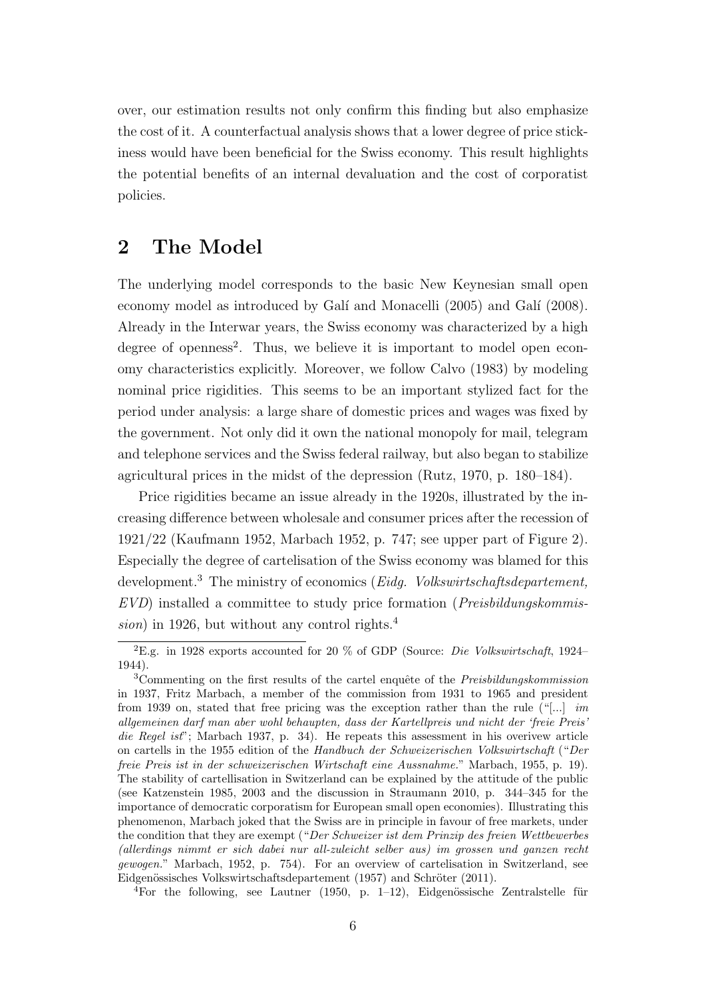over, our estimation results not only confirm this finding but also emphasize the cost of it. A counterfactual analysis shows that a lower degree of price stickiness would have been beneficial for the Swiss economy. This result highlights the potential benefits of an internal devaluation and the cost of corporatist policies.

## 2 The Model

The underlying model corresponds to the basic New Keynesian small open economy model as introduced by Galí and Monacelli (2005) and Galí (2008). Already in the Interwar years, the Swiss economy was characterized by a high degree of openness<sup>2</sup>. Thus, we believe it is important to model open economy characteristics explicitly. Moreover, we follow Calvo (1983) by modeling nominal price rigidities. This seems to be an important stylized fact for the period under analysis: a large share of domestic prices and wages was fixed by the government. Not only did it own the national monopoly for mail, telegram and telephone services and the Swiss federal railway, but also began to stabilize agricultural prices in the midst of the depression (Rutz, 1970, p. 180–184).

Price rigidities became an issue already in the 1920s, illustrated by the increasing difference between wholesale and consumer prices after the recession of 1921/22 (Kaufmann 1952, Marbach 1952, p. 747; see upper part of Figure 2). Especially the degree of cartelisation of the Swiss economy was blamed for this development.<sup>3</sup> The ministry of economics (*Eidg. Volkswirtschaftsdepartement*,  $EVD$ ) installed a committee to study price formation (*Preisbildungskommis*sion) in 1926, but without any control rights. $4$ 

<sup>4</sup>For the following, see Lautner (1950, p. 1–12), Eidgenössische Zentralstelle für

<sup>2</sup>E.g. in 1928 exports accounted for 20 % of GDP (Source: Die Volkswirtschaft, 1924– 1944).

 $3$ Commenting on the first results of the cartel enquête of the *Preisbildungskommission* in 1937, Fritz Marbach, a member of the commission from 1931 to 1965 and president from 1939 on, stated that free pricing was the exception rather than the rule ("[...] im allgemeinen darf man aber wohl behaupten, dass der Kartellpreis und nicht der 'freie Preis' die Regel ist"; Marbach 1937, p. 34). He repeats this assessment in his overivew article on cartells in the 1955 edition of the Handbuch der Schweizerischen Volkswirtschaft ("Der freie Preis ist in der schweizerischen Wirtschaft eine Aussnahme." Marbach, 1955, p. 19). The stability of cartellisation in Switzerland can be explained by the attitude of the public (see Katzenstein 1985, 2003 and the discussion in Straumann 2010, p. 344–345 for the importance of democratic corporatism for European small open economies). Illustrating this phenomenon, Marbach joked that the Swiss are in principle in favour of free markets, under the condition that they are exempt ("Der Schweizer ist dem Prinzip des freien Wettbewerbes (allerdings nimmt er sich dabei nur all-zuleicht selber aus) im grossen und ganzen recht gewogen." Marbach, 1952, p. 754). For an overview of cartelisation in Switzerland, see Eidgenössisches Volkswirtschaftsdepartement (1957) and Schröter (2011).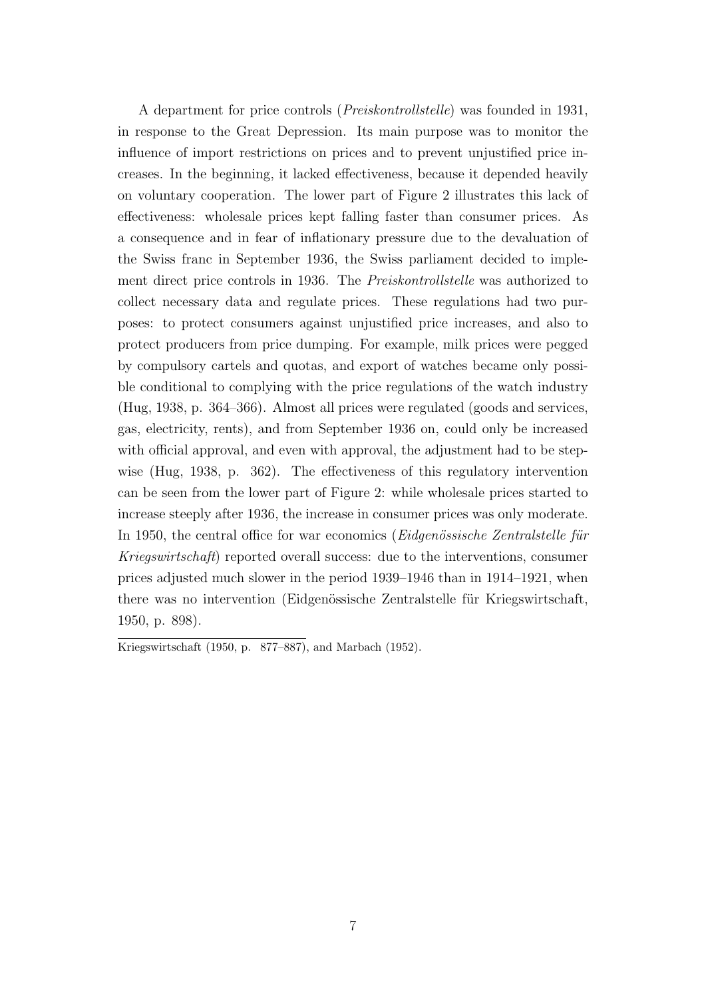A department for price controls (Preiskontrollstelle) was founded in 1931, in response to the Great Depression. Its main purpose was to monitor the influence of import restrictions on prices and to prevent unjustified price increases. In the beginning, it lacked effectiveness, because it depended heavily on voluntary cooperation. The lower part of Figure 2 illustrates this lack of effectiveness: wholesale prices kept falling faster than consumer prices. As a consequence and in fear of inflationary pressure due to the devaluation of the Swiss franc in September 1936, the Swiss parliament decided to implement direct price controls in 1936. The Preiskontrollstelle was authorized to collect necessary data and regulate prices. These regulations had two purposes: to protect consumers against unjustified price increases, and also to protect producers from price dumping. For example, milk prices were pegged by compulsory cartels and quotas, and export of watches became only possible conditional to complying with the price regulations of the watch industry (Hug, 1938, p. 364–366). Almost all prices were regulated (goods and services, gas, electricity, rents), and from September 1936 on, could only be increased with official approval, and even with approval, the adjustment had to be stepwise (Hug, 1938, p. 362). The effectiveness of this regulatory intervention can be seen from the lower part of Figure 2: while wholesale prices started to increase steeply after 1936, the increase in consumer prices was only moderate. In 1950, the central office for war economics ( $Eidgen\ddot{o}sisiche Zentralstelle für$ Kriegswirtschaft) reported overall success: due to the interventions, consumer prices adjusted much slower in the period 1939–1946 than in 1914–1921, when there was no intervention (Eidgenössische Zentralstelle für Kriegswirtschaft, 1950, p. 898).

Kriegswirtschaft (1950, p. 877–887), and Marbach (1952).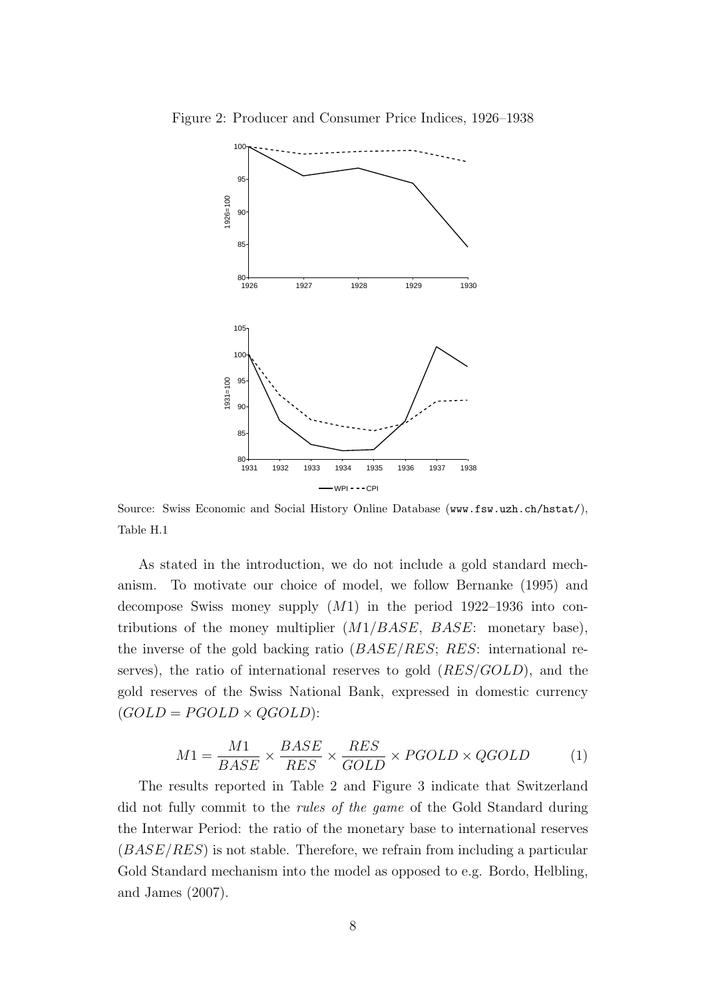

Figure 2: Producer and Consumer Price Indices, 1926–1938

Source: Swiss Economic and Social History Online Database (www.fsw.uzh.ch/hstat/), Table H.1

As stated in the introduction, we do not include a gold standard mechanism. To motivate our choice of model, we follow Bernanke (1995) and decompose Swiss money supply  $(M1)$  in the period 1922–1936 into contributions of the money multiplier  $(M1/BASE, BASE:$  monetary base), the inverse of the gold backing ratio  $(BASE/RES; RES:$  international reserves), the ratio of international reserves to gold  $(RES/GOLD)$ , and the gold reserves of the Swiss National Bank, expressed in domestic currency  $(GOLD = PGOLD \times QGOLD)$ :

$$
M1 = \frac{M1}{BASE} \times \frac{BASE}{RES} \times \frac{RES}{GOLD} \times PGOLD \times QGOLD \tag{1}
$$

The results reported in Table 2 and Figure 3 indicate that Switzerland did not fully commit to the rules of the game of the Gold Standard during the Interwar Period: the ratio of the monetary base to international reserves  $(BASE/RES)$  is not stable. Therefore, we refrain from including a particular Gold Standard mechanism into the model as opposed to e.g. Bordo, Helbling, and James (2007).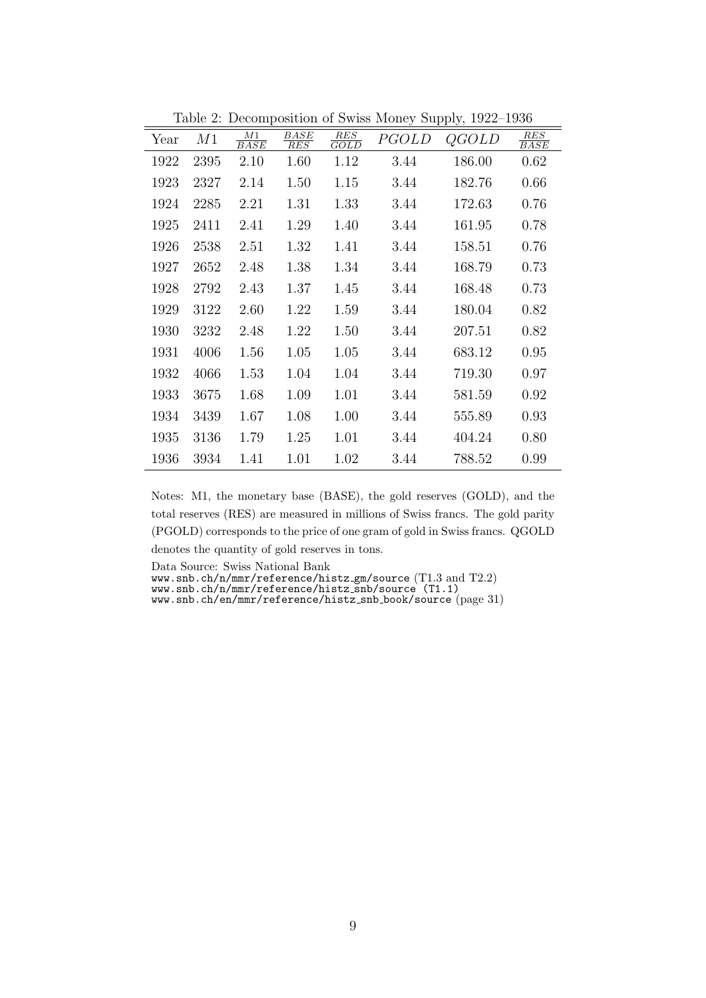|      |      |                   |                    |                    |       | Lable 2. Decomposition of owns woney oupply, $1322$ $1300$ |                    |
|------|------|-------------------|--------------------|--------------------|-------|------------------------------------------------------------|--------------------|
| Year | M1   | $\frac{M1}{BASE}$ | $\frac{BASE}{RES}$ | $\frac{RES}{GOLD}$ | PGOLD | QGOLD                                                      | $\frac{RES}{BASE}$ |
| 1922 | 2395 | 2.10              | 1.60               | 1.12               | 3.44  | 186.00                                                     | 0.62               |
| 1923 | 2327 | 2.14              | 1.50               | 1.15               | 3.44  | 182.76                                                     | 0.66               |
| 1924 | 2285 | 2.21              | 1.31               | 1.33               | 3.44  | 172.63                                                     | 0.76               |
| 1925 | 2411 | 2.41              | 1.29               | 1.40               | 3.44  | 161.95                                                     | 0.78               |
| 1926 | 2538 | 2.51              | 1.32               | 1.41               | 3.44  | 158.51                                                     | 0.76               |
| 1927 | 2652 | 2.48              | 1.38               | 1.34               | 3.44  | 168.79                                                     | 0.73               |
| 1928 | 2792 | 2.43              | 1.37               | 1.45               | 3.44  | 168.48                                                     | 0.73               |
| 1929 | 3122 | 2.60              | 1.22               | 1.59               | 3.44  | 180.04                                                     | 0.82               |
| 1930 | 3232 | 2.48              | 1.22               | 1.50               | 3.44  | 207.51                                                     | 0.82               |
| 1931 | 4006 | 1.56              | 1.05               | 1.05               | 3.44  | 683.12                                                     | 0.95               |
| 1932 | 4066 | 1.53              | 1.04               | 1.04               | 3.44  | 719.30                                                     | 0.97               |
| 1933 | 3675 | 1.68              | 1.09               | 1.01               | 3.44  | 581.59                                                     | 0.92               |
| 1934 | 3439 | 1.67              | 1.08               | 1.00               | 3.44  | 555.89                                                     | 0.93               |
| 1935 | 3136 | 1.79              | 1.25               | 1.01               | 3.44  | 404.24                                                     | 0.80               |
| 1936 | 3934 | 1.41              | 1.01               | 1.02               | 3.44  | 788.52                                                     | 0.99               |

Table 2: Decomposition of Swiss Money Supply, 1922–1936

Notes: M1, the monetary base (BASE), the gold reserves (GOLD), and the total reserves (RES) are measured in millions of Swiss francs. The gold parity (PGOLD) corresponds to the price of one gram of gold in Swiss francs. QGOLD denotes the quantity of gold reserves in tons.

Data Source: Swiss National Bank

www.snb.ch/n/mmr/reference/histz gm/source (T1.3 and T2.2)

www.snb.ch/n/mmr/reference/histz snb/source (T1.1)

www.snb.ch/en/mmr/reference/histz snb book/source (page 31)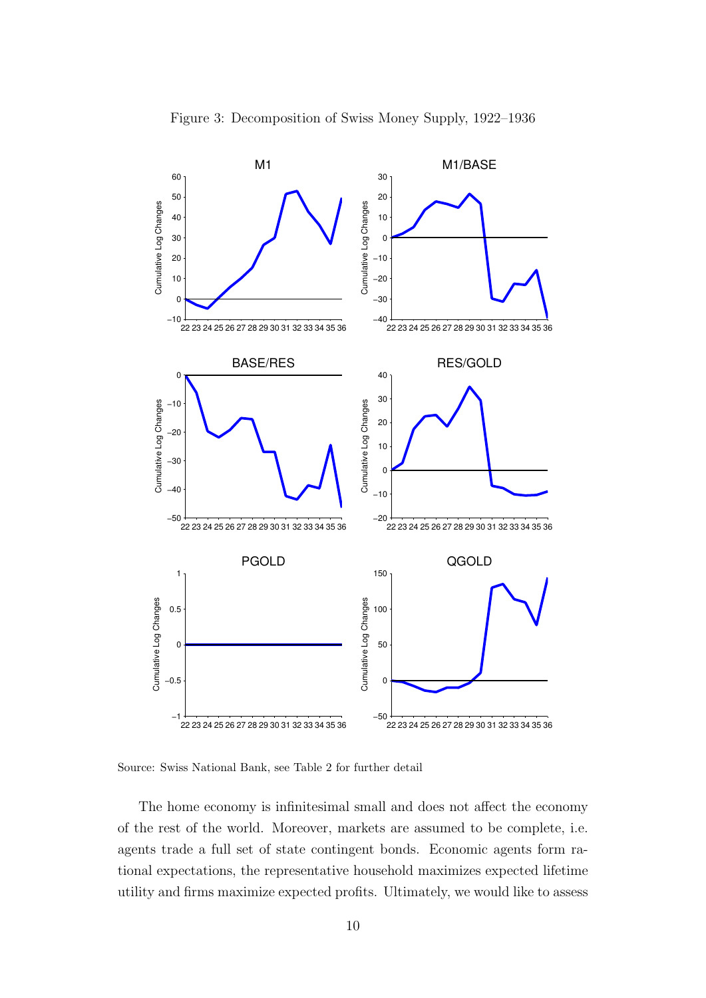

Source: Swiss National Bank, see Table 2 for further detail

The home economy is infinitesimal small and does not affect the economy of the rest of the world. Moreover, markets are assumed to be complete, i.e. agents trade a full set of state contingent bonds. Economic agents form rational expectations, the representative household maximizes expected lifetime utility and firms maximize expected profits. Ultimately, we would like to assess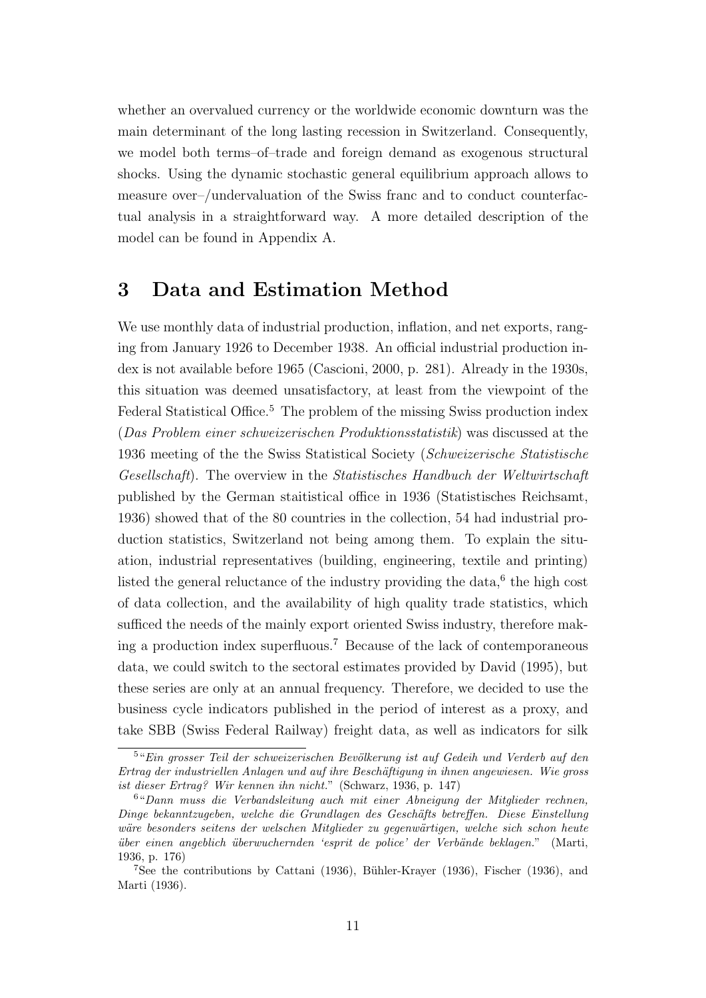whether an overvalued currency or the worldwide economic downturn was the main determinant of the long lasting recession in Switzerland. Consequently, we model both terms–of–trade and foreign demand as exogenous structural shocks. Using the dynamic stochastic general equilibrium approach allows to measure over–/undervaluation of the Swiss franc and to conduct counterfactual analysis in a straightforward way. A more detailed description of the model can be found in Appendix A.

### 3 Data and Estimation Method

We use monthly data of industrial production, inflation, and net exports, ranging from January 1926 to December 1938. An official industrial production index is not available before 1965 (Cascioni, 2000, p. 281). Already in the 1930s, this situation was deemed unsatisfactory, at least from the viewpoint of the Federal Statistical Office.<sup>5</sup> The problem of the missing Swiss production index (Das Problem einer schweizerischen Produktionsstatistik) was discussed at the 1936 meeting of the the Swiss Statistical Society (Schweizerische Statistische Gesellschaft). The overview in the Statistisches Handbuch der Weltwirtschaft published by the German staitistical office in 1936 (Statistisches Reichsamt, 1936) showed that of the 80 countries in the collection, 54 had industrial production statistics, Switzerland not being among them. To explain the situation, industrial representatives (building, engineering, textile and printing) listed the general reluctance of the industry providing the data, $6$  the high cost of data collection, and the availability of high quality trade statistics, which sufficed the needs of the mainly export oriented Swiss industry, therefore making a production index superfluous.<sup>7</sup> Because of the lack of contemporaneous data, we could switch to the sectoral estimates provided by David (1995), but these series are only at an annual frequency. Therefore, we decided to use the business cycle indicators published in the period of interest as a proxy, and take SBB (Swiss Federal Railway) freight data, as well as indicators for silk

<sup>&</sup>lt;sup>5</sup>"Ein grosser Teil der schweizerischen Bevölkerung ist auf Gedeih und Verderb auf den Ertrag der industriellen Anlagen und auf ihre Beschäftigung in ihnen angewiesen. Wie gross ist dieser Ertrag? Wir kennen ihn nicht." (Schwarz, 1936, p. 147)

<sup>6</sup>"Dann muss die Verbandsleitung auch mit einer Abneigung der Mitglieder rechnen, Dinge bekanntzugeben, welche die Grundlagen des Gesch¨afts betreffen. Diese Einstellung wäre besonders seitens der welschen Mitglieder zu gegenwärtigen, welche sich schon heute ¨uber einen angeblich ¨uberwuchernden 'esprit de police' der Verb¨ande beklagen." (Marti, 1936, p. 176)

<sup>&</sup>lt;sup>7</sup>See the contributions by Cattani (1936), Bühler-Krayer (1936), Fischer (1936), and Marti (1936).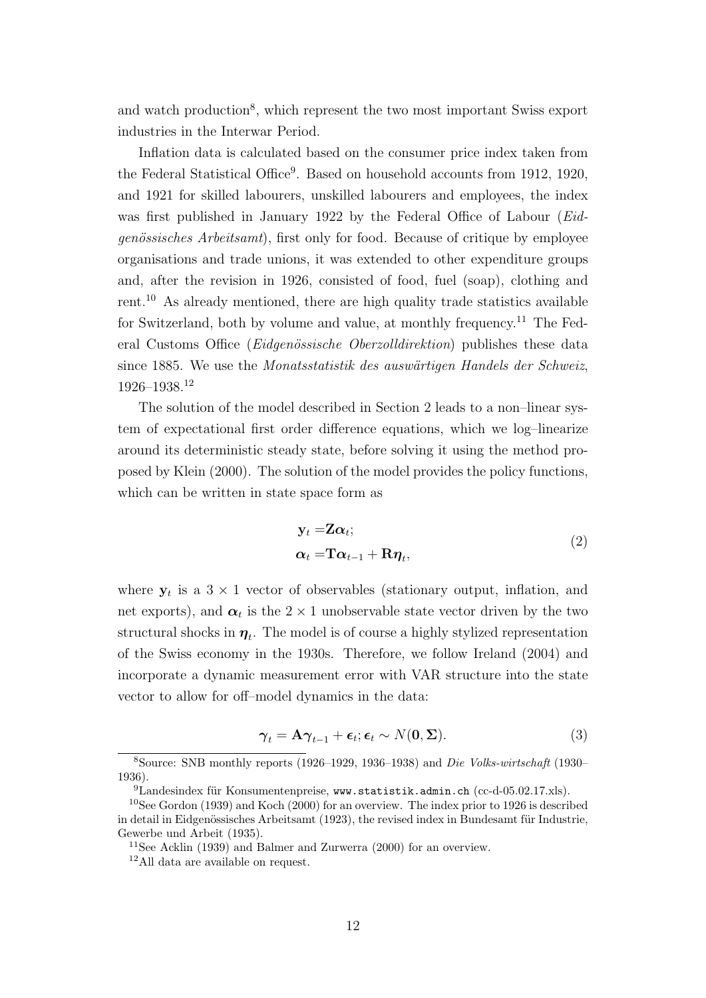and watch production<sup>8</sup>, which represent the two most important Swiss export industries in the Interwar Period.

Inflation data is calculated based on the consumer price index taken from the Federal Statistical Office<sup>9</sup>. Based on household accounts from 1912, 1920, and 1921 for skilled labourers, unskilled labourers and employees, the index was first published in January 1922 by the Federal Office of Labour (Eidgenössisches Arbeitsamt), first only for food. Because of critique by employee organisations and trade unions, it was extended to other expenditure groups and, after the revision in 1926, consisted of food, fuel (soap), clothing and rent.<sup>10</sup> As already mentioned, there are high quality trade statistics available for Switzerland, both by volume and value, at monthly frequency.<sup>11</sup> The Federal Customs Office (Eidgenössische Oberzolldirektion) publishes these data since 1885. We use the *Monatsstatistik des auswärtigen Handels der Schweiz*, 1926–1938.<sup>12</sup>

The solution of the model described in Section 2 leads to a non–linear system of expectational first order difference equations, which we log–linearize around its deterministic steady state, before solving it using the method proposed by Klein (2000). The solution of the model provides the policy functions, which can be written in state space form as

$$
\mathbf{y}_t = \mathbf{Z}\boldsymbol{\alpha}_t; \n\boldsymbol{\alpha}_t = \mathbf{T}\boldsymbol{\alpha}_{t-1} + \mathbf{R}\boldsymbol{\eta}_t,
$$
\n(2)

where  $y_t$  is a  $3 \times 1$  vector of observables (stationary output, inflation, and net exports), and  $\alpha_t$  is the  $2 \times 1$  unobservable state vector driven by the two structural shocks in  $\eta_t$ . The model is of course a highly stylized representation of the Swiss economy in the 1930s. Therefore, we follow Ireland (2004) and incorporate a dynamic measurement error with VAR structure into the state vector to allow for off–model dynamics in the data:

$$
\gamma_t = \mathbf{A}\gamma_{t-1} + \boldsymbol{\epsilon}_t; \boldsymbol{\epsilon}_t \sim N(\mathbf{0}, \boldsymbol{\Sigma}). \tag{3}
$$

<sup>8</sup>Source: SNB monthly reports (1926–1929, 1936–1938) and Die Volks-wirtschaft (1930– 1936).

 $^{9}$ Landesindex für Konsumentenpreise, www.statistik.admin.ch (cc-d-05.02.17.xls).

<sup>&</sup>lt;sup>10</sup>See Gordon (1939) and Koch (2000) for an overview. The index prior to 1926 is described in detail in Eidgenössisches Arbeitsamt (1923), the revised index in Bundesamt für Industrie, Gewerbe und Arbeit (1935).

<sup>&</sup>lt;sup>11</sup>See Acklin (1939) and Balmer and Zurwerra (2000) for an overview.

<sup>12</sup>All data are available on request.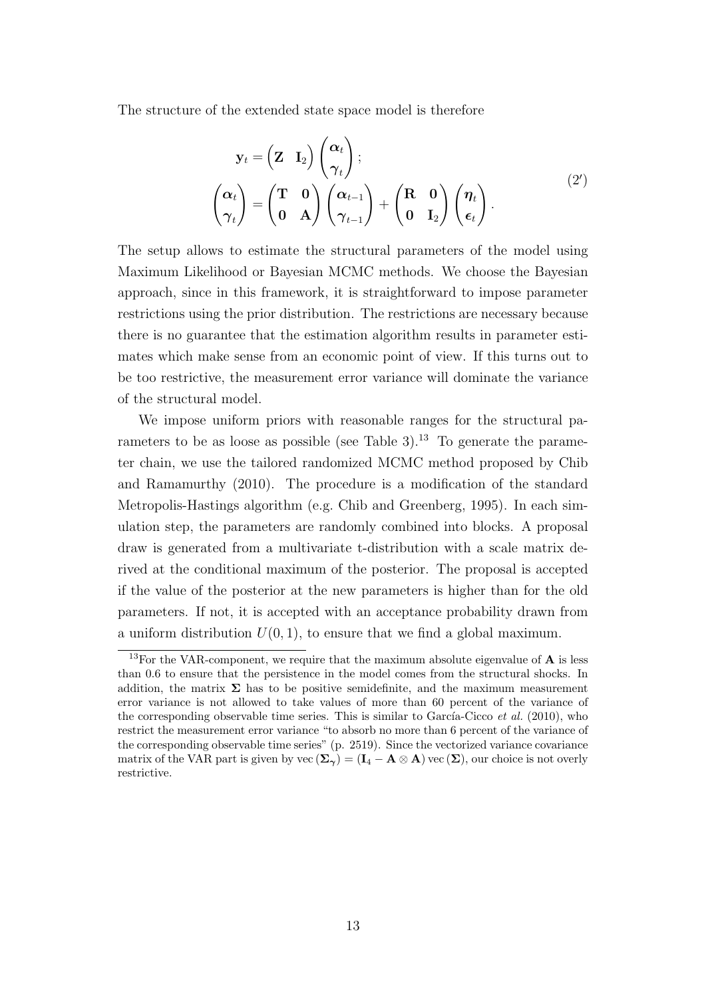The structure of the extended state space model is therefore

$$
\mathbf{y}_{t} = \begin{pmatrix} \mathbf{Z} & \mathbf{I}_{2} \end{pmatrix} \begin{pmatrix} \boldsymbol{\alpha}_{t} \\ \boldsymbol{\gamma}_{t} \end{pmatrix};
$$
\n
$$
\begin{pmatrix} \boldsymbol{\alpha}_{t} \\ \boldsymbol{\gamma}_{t} \end{pmatrix} = \begin{pmatrix} \mathbf{T} & \mathbf{0} \\ \mathbf{0} & \mathbf{A} \end{pmatrix} \begin{pmatrix} \boldsymbol{\alpha}_{t-1} \\ \boldsymbol{\gamma}_{t-1} \end{pmatrix} + \begin{pmatrix} \mathbf{R} & \mathbf{0} \\ \mathbf{0} & \mathbf{I}_{2} \end{pmatrix} \begin{pmatrix} \boldsymbol{\eta}_{t} \\ \boldsymbol{\epsilon}_{t} \end{pmatrix}.
$$
\n(2')

The setup allows to estimate the structural parameters of the model using Maximum Likelihood or Bayesian MCMC methods. We choose the Bayesian approach, since in this framework, it is straightforward to impose parameter restrictions using the prior distribution. The restrictions are necessary because there is no guarantee that the estimation algorithm results in parameter estimates which make sense from an economic point of view. If this turns out to be too restrictive, the measurement error variance will dominate the variance of the structural model.

We impose uniform priors with reasonable ranges for the structural parameters to be as loose as possible (see Table 3).<sup>13</sup> To generate the parameter chain, we use the tailored randomized MCMC method proposed by Chib and Ramamurthy (2010). The procedure is a modification of the standard Metropolis-Hastings algorithm (e.g. Chib and Greenberg, 1995). In each simulation step, the parameters are randomly combined into blocks. A proposal draw is generated from a multivariate t-distribution with a scale matrix derived at the conditional maximum of the posterior. The proposal is accepted if the value of the posterior at the new parameters is higher than for the old parameters. If not, it is accepted with an acceptance probability drawn from a uniform distribution  $U(0, 1)$ , to ensure that we find a global maximum.

 $^{13}{\rm For}$  the VAR-component, we require that the maximum absolute eigenvalue of  ${\bf A}$  is less than 0.6 to ensure that the persistence in the model comes from the structural shocks. In addition, the matrix  $\Sigma$  has to be positive semidefinite, and the maximum measurement error variance is not allowed to take values of more than 60 percent of the variance of the corresponding observable time series. This is similar to García-Cicco *et al.* (2010), who restrict the measurement error variance "to absorb no more than 6 percent of the variance of the corresponding observable time series" (p. 2519). Since the vectorized variance covariance matrix of the VAR part is given by vec  $(\Sigma_\gamma) = (\mathbf{I}_4 - \mathbf{A} \otimes \mathbf{A})$  vec  $(\Sigma)$ , our choice is not overly restrictive.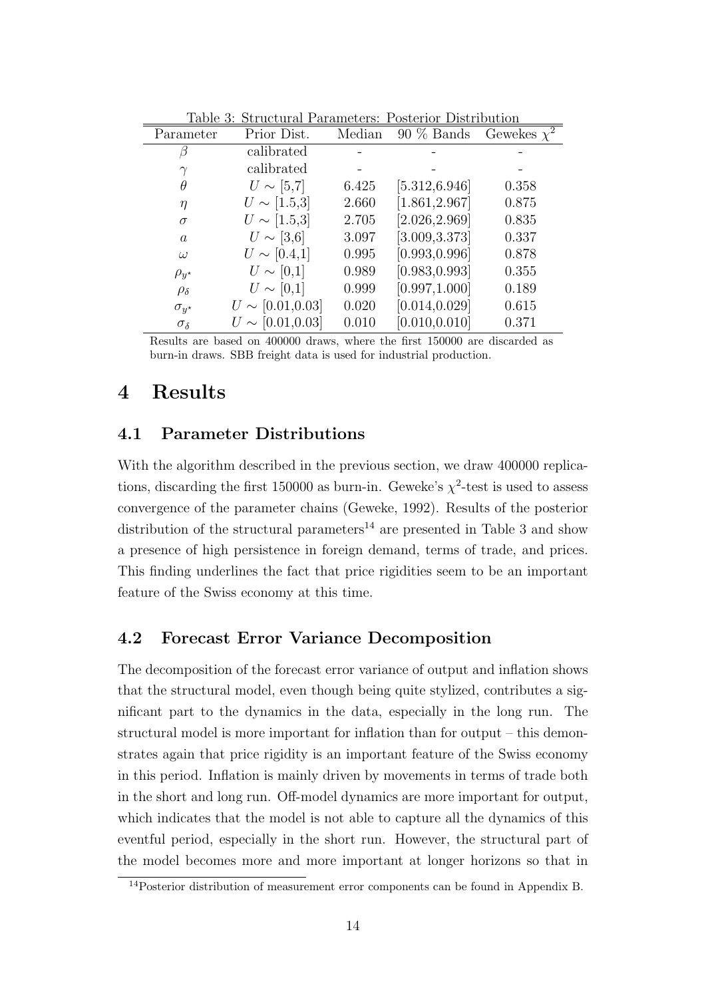| таріе ә.<br>Suructural I arameters. I osterior Distribution |                       |        |                |                             |
|-------------------------------------------------------------|-----------------------|--------|----------------|-----------------------------|
| Parameter                                                   | Prior Dist.           | Median | $90\%$ Bands   | Gewekes $\overline{\chi^2}$ |
|                                                             | calibrated            |        |                |                             |
|                                                             | calibrated            |        |                |                             |
| θ                                                           | $U \sim [5,7]$        | 6.425  | [5.312, 6.946] | 0.358                       |
| $\eta$                                                      | $U \sim [1.5,3]$      | 2.660  | [1.861, 2.967] | 0.875                       |
| $\sigma$                                                    | $U \sim [1.5,3]$      | 2.705  | [2.026, 2.969] | 0.835                       |
| $\alpha$                                                    | $U \sim [3,6]$        | 3.097  | [3.009, 3.373] | 0.337                       |
| $\omega$                                                    | $U \sim [0.4, 1]$     | 0.995  | [0.993, 0.996] | 0.878                       |
| $\rho_{y^*}$                                                | $U \sim [0,1]$        | 0.989  | [0.983, 0.993] | 0.355                       |
| $\rho_{\delta}$                                             | $U \sim [0,1]$        | 0.999  | [0.997, 1.000] | 0.189                       |
| $\sigma_{u^*}$                                              | $U \sim [0.01, 0.03]$ | 0.020  | [0.014, 0.029] | 0.615                       |
| $\sigma_{\delta}$                                           | $U \sim [0.01, 0.03]$ | 0.010  | [0.010, 0.010] | 0.371                       |

Table 3: Structural Parameters: Posterior Distribution

Results are based on 400000 draws, where the first 150000 are discarded as burn-in draws. SBB freight data is used for industrial production.

### 4 Results

#### 4.1 Parameter Distributions

With the algorithm described in the previous section, we draw 400000 replications, discarding the first 150000 as burn-in. Geweke's  $\chi^2$ -test is used to assess convergence of the parameter chains (Geweke, 1992). Results of the posterior distribution of the structural parameters<sup>14</sup> are presented in Table 3 and show a presence of high persistence in foreign demand, terms of trade, and prices. This finding underlines the fact that price rigidities seem to be an important feature of the Swiss economy at this time.

#### 4.2 Forecast Error Variance Decomposition

The decomposition of the forecast error variance of output and inflation shows that the structural model, even though being quite stylized, contributes a significant part to the dynamics in the data, especially in the long run. The structural model is more important for inflation than for output – this demonstrates again that price rigidity is an important feature of the Swiss economy in this period. Inflation is mainly driven by movements in terms of trade both in the short and long run. Off-model dynamics are more important for output, which indicates that the model is not able to capture all the dynamics of this eventful period, especially in the short run. However, the structural part of the model becomes more and more important at longer horizons so that in

<sup>14</sup>Posterior distribution of measurement error components can be found in Appendix B.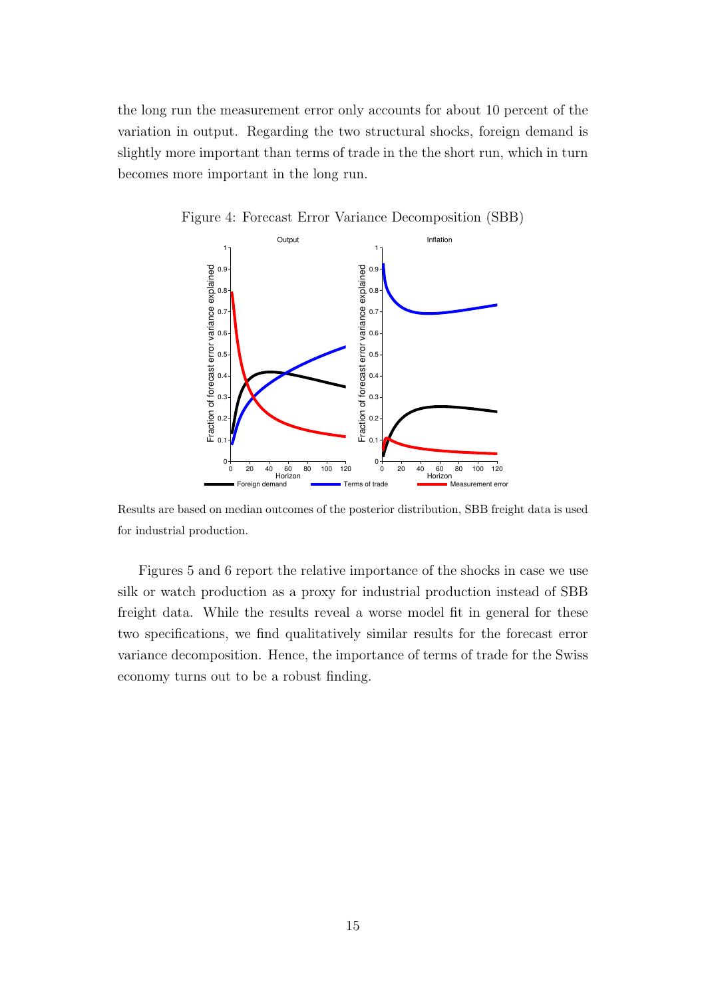the long run the measurement error only accounts for about 10 percent of the variation in output. Regarding the two structural shocks, foreign demand is slightly more important than terms of trade in the the short run, which in turn becomes more important in the long run.



Figure 4: Forecast Error Variance Decomposition (SBB)

Results are based on median outcomes of the posterior distribution, SBB freight data is used for industrial production.

Figures 5 and 6 report the relative importance of the shocks in case we use silk or watch production as a proxy for industrial production instead of SBB freight data. While the results reveal a worse model fit in general for these two specifications, we find qualitatively similar results for the forecast error variance decomposition. Hence, the importance of terms of trade for the Swiss economy turns out to be a robust finding.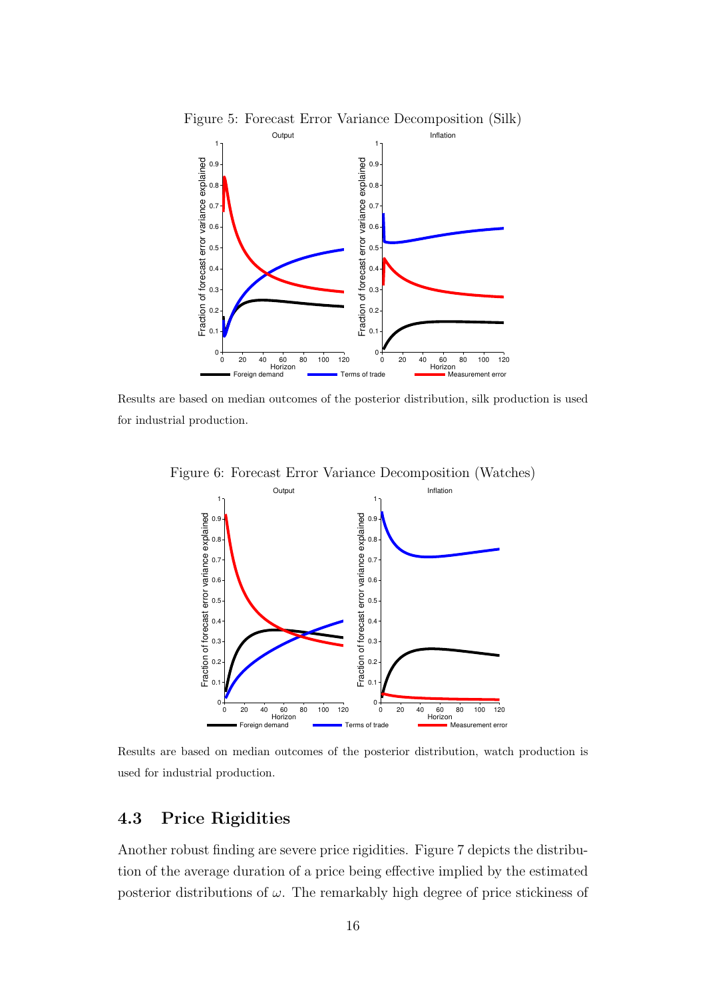

0 20 40 60 80 100 120 Horizon

Results are based on median outcomes of the posterior distribution, silk production is used for industrial production.



Figure 6: Forecast Error Variance Decomposition (Watches)

Results are based on median outcomes of the posterior distribution, watch production is used for industrial production.

### 4.3 Price Rigidities

Another robust finding are severe price rigidities. Figure 7 depicts the distribution of the average duration of a price being effective implied by the estimated posterior distributions of  $\omega$ . The remarkably high degree of price stickiness of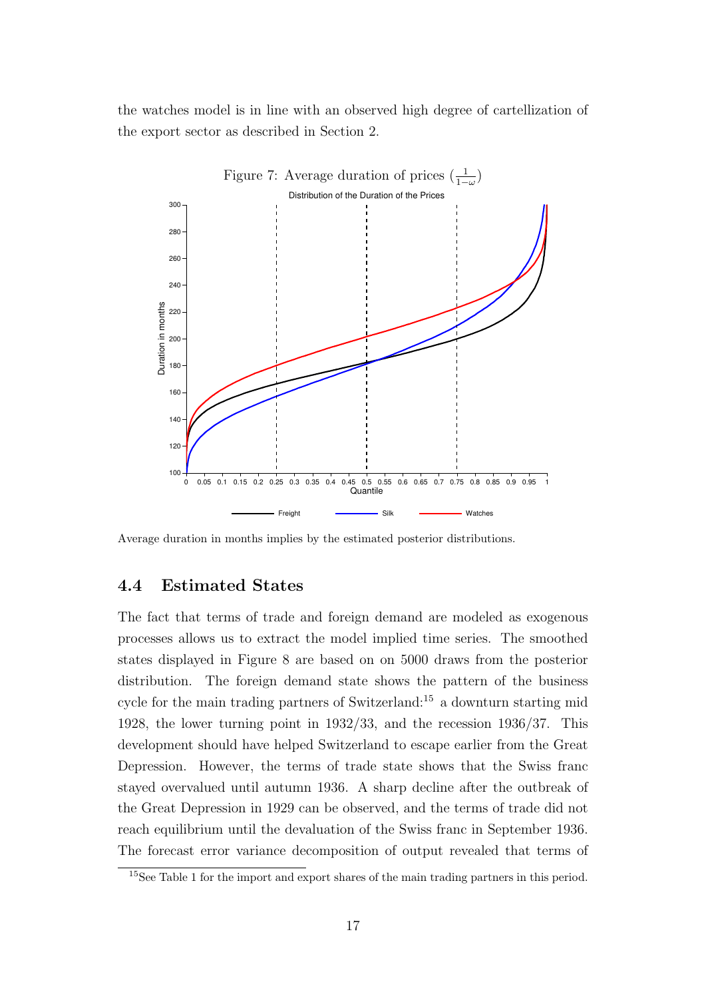the watches model is in line with an observed high degree of cartellization of the export sector as described in Section 2.



Average duration in months implies by the estimated posterior distributions.

#### 4.4 Estimated States

The fact that terms of trade and foreign demand are modeled as exogenous processes allows us to extract the model implied time series. The smoothed states displayed in Figure 8 are based on on 5000 draws from the posterior distribution. The foreign demand state shows the pattern of the business cycle for the main trading partners of Switzerland:<sup>15</sup> a downturn starting mid 1928, the lower turning point in 1932/33, and the recession 1936/37. This development should have helped Switzerland to escape earlier from the Great Depression. However, the terms of trade state shows that the Swiss franc stayed overvalued until autumn 1936. A sharp decline after the outbreak of the Great Depression in 1929 can be observed, and the terms of trade did not reach equilibrium until the devaluation of the Swiss franc in September 1936. The forecast error variance decomposition of output revealed that terms of

<sup>&</sup>lt;sup>15</sup>See Table 1 for the import and export shares of the main trading partners in this period.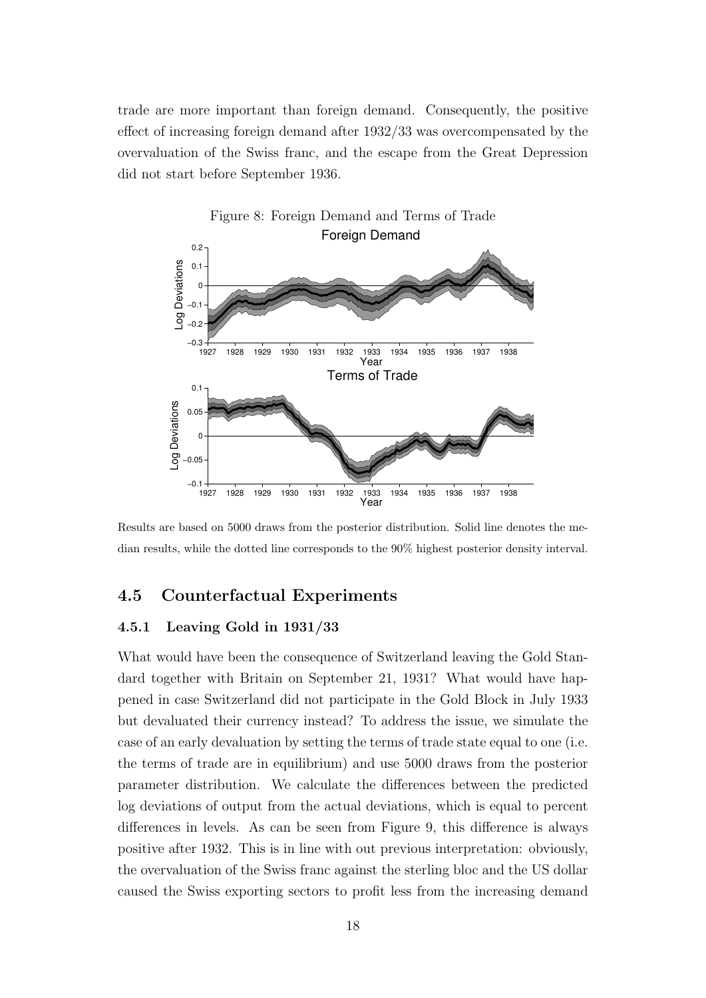trade are more important than foreign demand. Consequently, the positive effect of increasing foreign demand after 1932/33 was overcompensated by the overvaluation of the Swiss franc, and the escape from the Great Depression did not start before September 1936.



Results are based on 5000 draws from the posterior distribution. Solid line denotes the median results, while the dotted line corresponds to the 90% highest posterior density interval.

#### 4.5 Counterfactual Experiments

#### 4.5.1 Leaving Gold in 1931/33

What would have been the consequence of Switzerland leaving the Gold Standard together with Britain on September 21, 1931? What would have happened in case Switzerland did not participate in the Gold Block in July 1933 but devaluated their currency instead? To address the issue, we simulate the case of an early devaluation by setting the terms of trade state equal to one (i.e. the terms of trade are in equilibrium) and use 5000 draws from the posterior parameter distribution. We calculate the differences between the predicted log deviations of output from the actual deviations, which is equal to percent differences in levels. As can be seen from Figure 9, this difference is always positive after 1932. This is in line with out previous interpretation: obviously, the overvaluation of the Swiss franc against the sterling bloc and the US dollar caused the Swiss exporting sectors to profit less from the increasing demand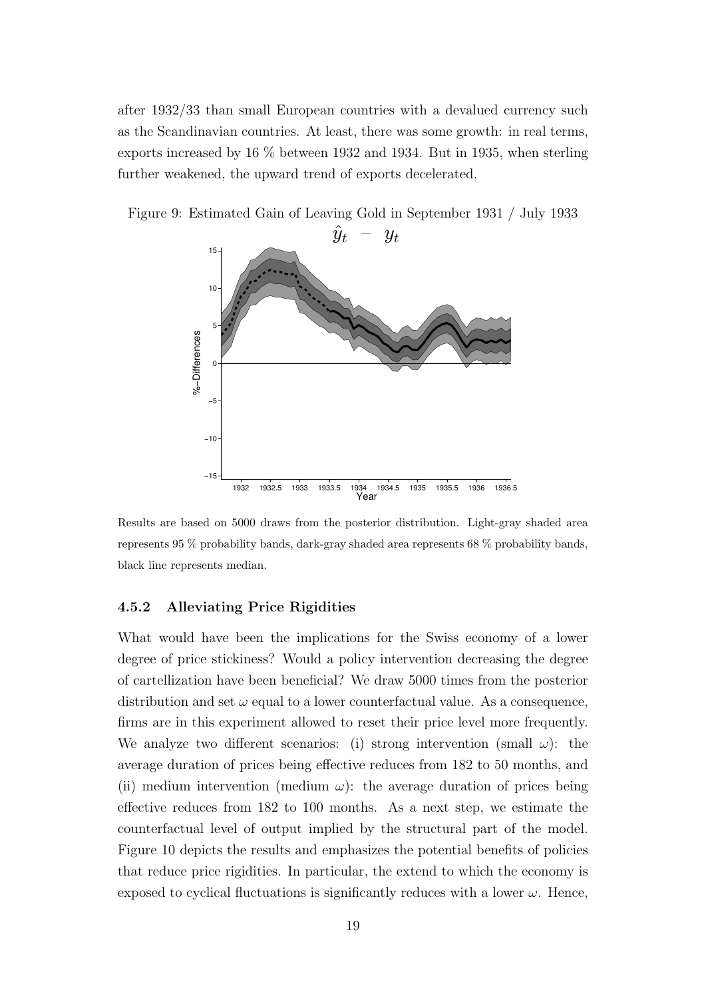after 1932/33 than small European countries with a devalued currency such as the Scandinavian countries. At least, there was some growth: in real terms, exports increased by 16 % between 1932 and 1934. But in 1935, when sterling further weakened, the upward trend of exports decelerated.



Figure 9: Estimated Gain of Leaving Gold in September 1931 / July 1933

Results are based on 5000 draws from the posterior distribution. Light-gray shaded area represents 95 % probability bands, dark-gray shaded area represents 68 % probability bands, black line represents median.

#### 4.5.2 Alleviating Price Rigidities

What would have been the implications for the Swiss economy of a lower degree of price stickiness? Would a policy intervention decreasing the degree of cartellization have been beneficial? We draw 5000 times from the posterior distribution and set  $\omega$  equal to a lower counterfactual value. As a consequence, firms are in this experiment allowed to reset their price level more frequently. We analyze two different scenarios: (i) strong intervention (small  $\omega$ ): the average duration of prices being effective reduces from 182 to 50 months, and (ii) medium intervention (medium  $\omega$ ): the average duration of prices being effective reduces from 182 to 100 months. As a next step, we estimate the counterfactual level of output implied by the structural part of the model. Figure 10 depicts the results and emphasizes the potential benefits of policies that reduce price rigidities. In particular, the extend to which the economy is exposed to cyclical fluctuations is significantly reduces with a lower  $\omega$ . Hence,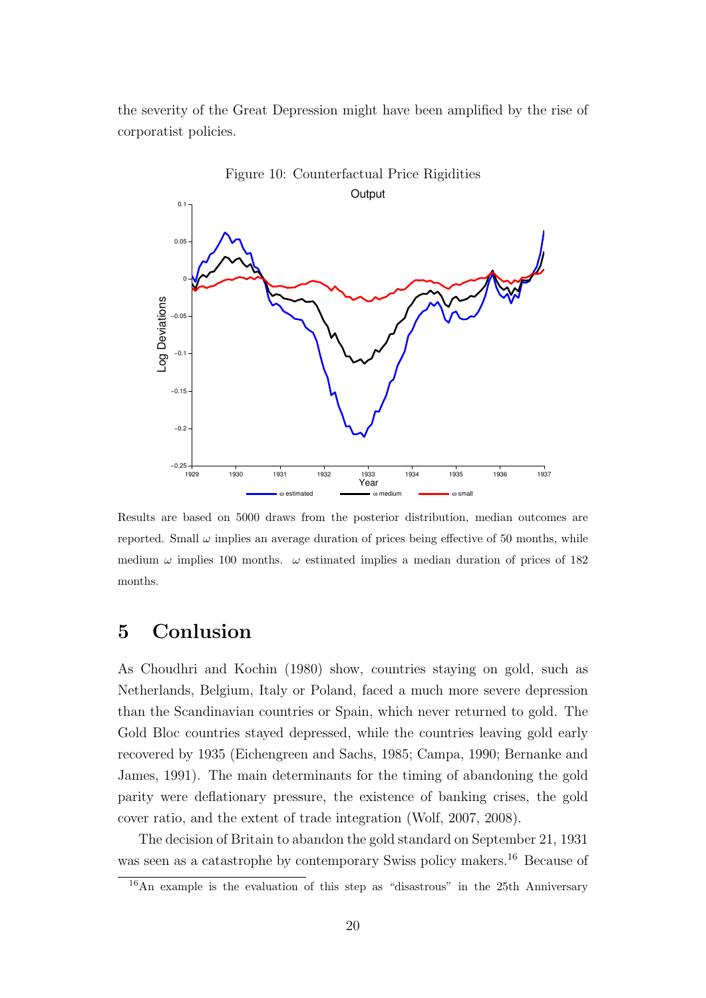the severity of the Great Depression might have been amplified by the rise of corporatist policies.



Results are based on 5000 draws from the posterior distribution, median outcomes are reported. Small  $\omega$  implies an average duration of prices being effective of 50 months, while medium  $\omega$  implies 100 months.  $\omega$  estimated implies a median duration of prices of 182 months.

# 5 Conlusion

As Choudhri and Kochin (1980) show, countries staying on gold, such as Netherlands, Belgium, Italy or Poland, faced a much more severe depression than the Scandinavian countries or Spain, which never returned to gold. The Gold Bloc countries stayed depressed, while the countries leaving gold early recovered by 1935 (Eichengreen and Sachs, 1985; Campa, 1990; Bernanke and James, 1991). The main determinants for the timing of abandoning the gold parity were deflationary pressure, the existence of banking crises, the gold cover ratio, and the extent of trade integration (Wolf, 2007, 2008).

The decision of Britain to abandon the gold standard on September 21, 1931 was seen as a catastrophe by contemporary Swiss policy makers.<sup>16</sup> Because of

<sup>16</sup>An example is the evaluation of this step as "disastrous" in the 25th Anniversary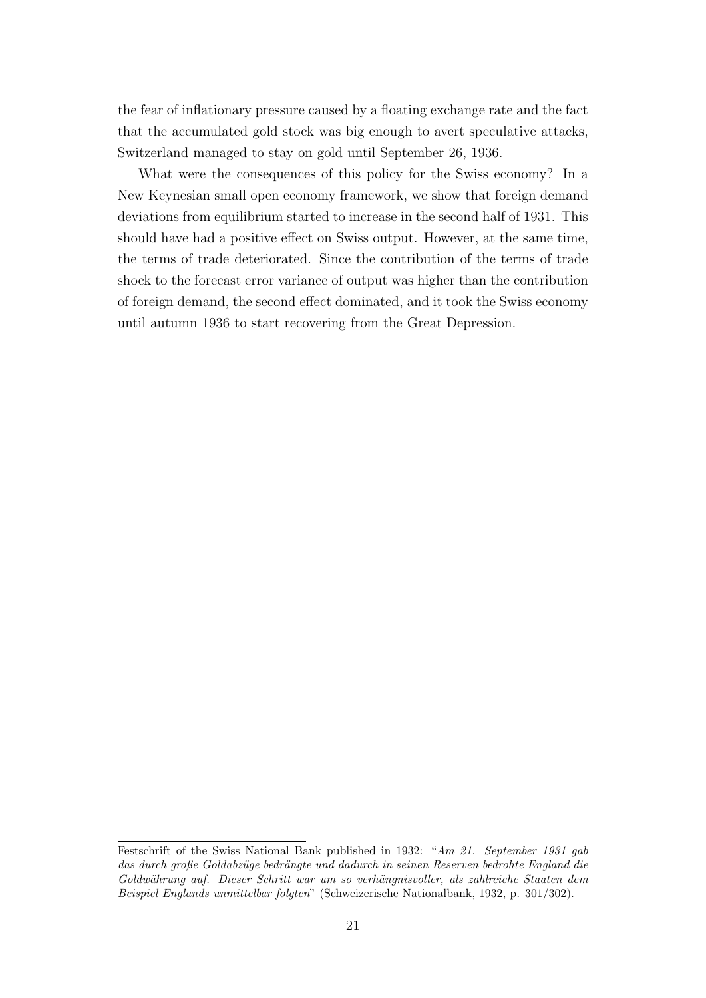the fear of inflationary pressure caused by a floating exchange rate and the fact that the accumulated gold stock was big enough to avert speculative attacks, Switzerland managed to stay on gold until September 26, 1936.

What were the consequences of this policy for the Swiss economy? In a New Keynesian small open economy framework, we show that foreign demand deviations from equilibrium started to increase in the second half of 1931. This should have had a positive effect on Swiss output. However, at the same time, the terms of trade deteriorated. Since the contribution of the terms of trade shock to the forecast error variance of output was higher than the contribution of foreign demand, the second effect dominated, and it took the Swiss economy until autumn 1936 to start recovering from the Great Depression.

Festschrift of the Swiss National Bank published in 1932: "Am 21. September 1931 gab das durch große Goldabzüge bedrängte und dadurch in seinen Reserven bedrohte England die Goldwährung auf. Dieser Schritt war um so verhängnisvoller, als zahlreiche Staaten dem Beispiel Englands unmittelbar folgten" (Schweizerische Nationalbank, 1932, p. 301/302).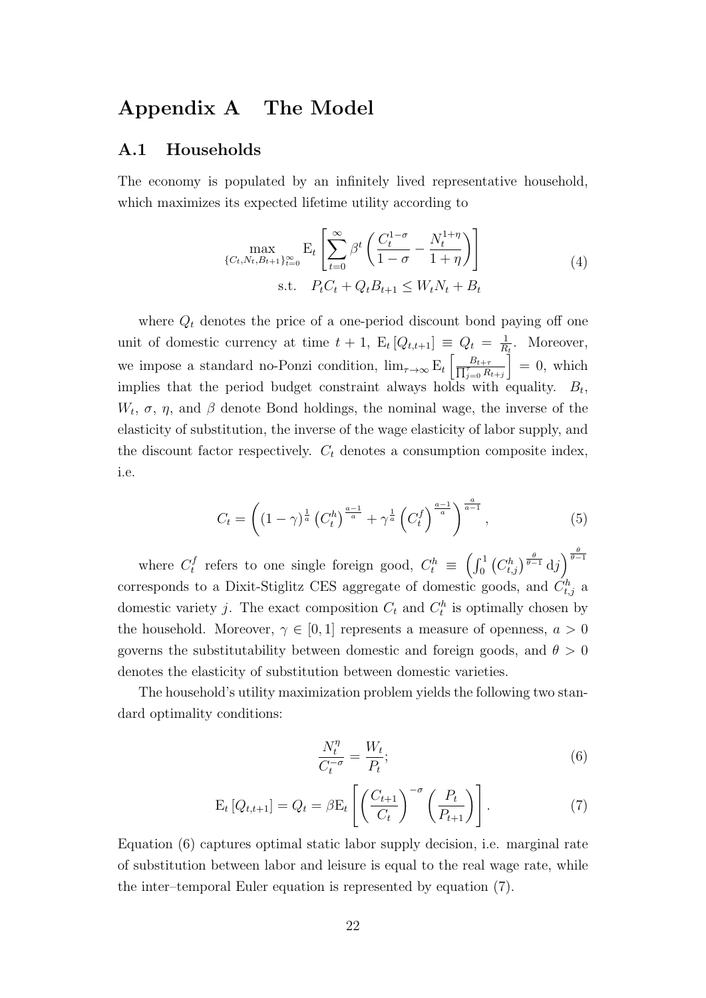# Appendix A The Model

#### A.1 Households

The economy is populated by an infinitely lived representative household, which maximizes its expected lifetime utility according to

$$
\max_{\{C_t, N_t, B_{t+1}\}_{t=0}^{\infty}} \mathbf{E}_t \left[ \sum_{t=0}^{\infty} \beta^t \left( \frac{C_t^{1-\sigma}}{1-\sigma} - \frac{N_t^{1+\eta}}{1+\eta} \right) \right]
$$
\n
$$
\text{s.t.} \quad P_t C_t + Q_t B_{t+1} \le W_t N_t + B_t \tag{4}
$$

where  $Q_t$  denotes the price of a one-period discount bond paying off one unit of domestic currency at time  $t + 1$ ,  $E_t[Q_{t,t+1}] \equiv Q_t = \frac{1}{R}$  $\frac{1}{R_t}$ . Moreover, we impose a standard no-Ponzi condition,  $\lim_{\tau \to \infty} E_t \left[ \frac{\tau}{\sqrt{n}} \right]$  $\frac{B_{t+\tau}}{\tau_{j=0} R_{t+j}}$  $\Big] = 0$ , which implies that the period budget constraint always holds with equality.  $B_t$ ,  $W_t$ ,  $\sigma$ ,  $\eta$ , and  $\beta$  denote Bond holdings, the nominal wage, the inverse of the elasticity of substitution, the inverse of the wage elasticity of labor supply, and the discount factor respectively.  $C_t$  denotes a consumption composite index, i.e.

$$
C_t = \left( (1 - \gamma)^{\frac{1}{a}} \left( C_t^h \right)^{\frac{a-1}{a}} + \gamma^{\frac{1}{a}} \left( C_t^f \right)^{\frac{a-1}{a}} \right)^{\frac{a}{a-1}}, \tag{5}
$$

where  $C_t^f$ t refers to one single foreign good,  $C_t^h \equiv \left(\int_0^1 \left(C_{t,j}^h\right)^{\frac{\theta}{\theta-1}} d\mathrm{j}\right)^{\frac{\theta}{\theta-1}}$ corresponds to a Dixit-Stiglitz CES aggregate of domestic goods, and  $\dot{C}_{t,j}^h$  a domestic variety *j*. The exact composition  $C_t$  and  $C_t^h$  is optimally chosen by the household. Moreover,  $\gamma \in [0,1]$  represents a measure of openness,  $a > 0$ governs the substitutability between domestic and foreign goods, and  $\theta > 0$ denotes the elasticity of substitution between domestic varieties.

The household's utility maximization problem yields the following two standard optimality conditions:

$$
\frac{N_t^{\eta}}{C_t^{-\sigma}} = \frac{W_t}{P_t};\tag{6}
$$

$$
E_t [Q_{t,t+1}] = Q_t = \beta E_t \left[ \left( \frac{C_{t+1}}{C_t} \right)^{-\sigma} \left( \frac{P_t}{P_{t+1}} \right) \right]. \tag{7}
$$

Equation (6) captures optimal static labor supply decision, i.e. marginal rate of substitution between labor and leisure is equal to the real wage rate, while the inter–temporal Euler equation is represented by equation (7).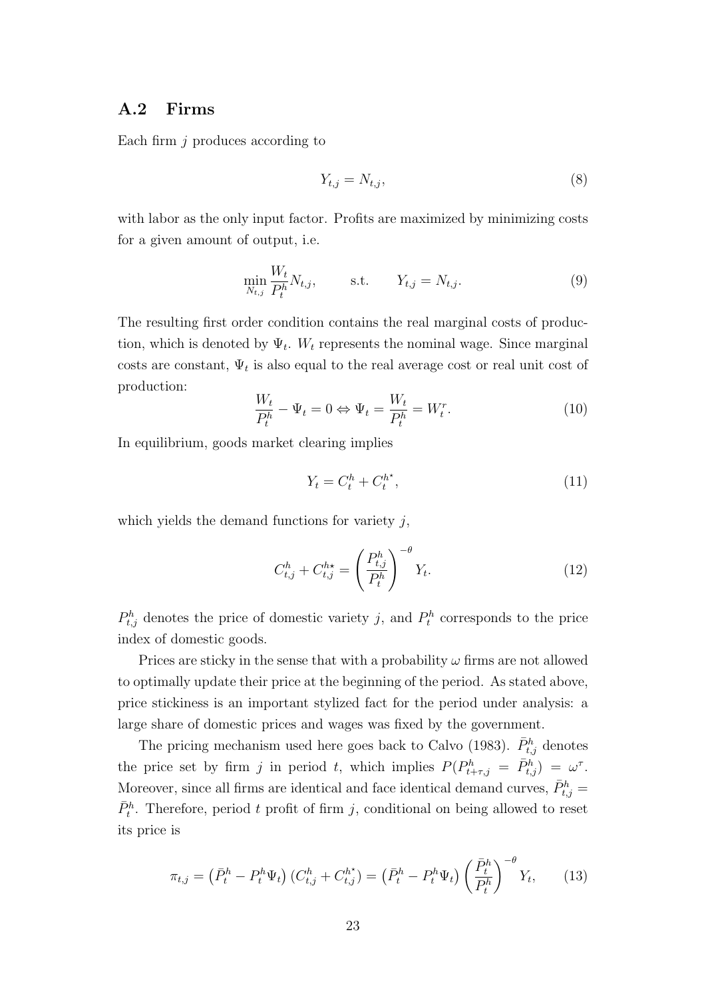#### A.2 Firms

Each firm  $j$  produces according to

$$
Y_{t,j} = N_{t,j},\tag{8}
$$

with labor as the only input factor. Profits are maximized by minimizing costs for a given amount of output, i.e.

$$
\min_{N_{t,j}} \frac{W_t}{P_t^h} N_{t,j}, \quad \text{s.t.} \quad Y_{t,j} = N_{t,j}.
$$
\n(9)

The resulting first order condition contains the real marginal costs of production, which is denoted by  $\Psi_t$ . W<sub>t</sub> represents the nominal wage. Since marginal costs are constant,  $\Psi_t$  is also equal to the real average cost or real unit cost of production:

$$
\frac{W_t}{P_t^h} - \Psi_t = 0 \Leftrightarrow \Psi_t = \frac{W_t}{P_t^h} = W_t^r. \tag{10}
$$

In equilibrium, goods market clearing implies

$$
Y_t = C_t^h + C_t^{h^\star},\tag{11}
$$

which yields the demand functions for variety  $j$ ,

$$
C_{t,j}^h + C_{t,j}^{h\star} = \left(\frac{P_{t,j}^h}{P_t^h}\right)^{-\theta} Y_t.
$$
\n(12)

 $P_{t,j}^h$  denotes the price of domestic variety j, and  $P_t^h$  corresponds to the price index of domestic goods.

Prices are sticky in the sense that with a probability  $\omega$  firms are not allowed to optimally update their price at the beginning of the period. As stated above, price stickiness is an important stylized fact for the period under analysis: a large share of domestic prices and wages was fixed by the government.

The pricing mechanism used here goes back to Calvo (1983).  $\bar{P}_{t,j}^h$  denotes the price set by firm j in period t, which implies  $P(P_{t+\tau,j}^h = \bar{P}_{t,j}^h) = \omega^{\tau}$ . Moreover, since all firms are identical and face identical demand curves,  $\bar{P}^h_{t,j} =$  $\bar{P}_t^h$ . Therefore, period t profit of firm j, conditional on being allowed to reset its price is

$$
\pi_{t,j} = \left(\bar{P}_t^h - P_t^h \Psi_t\right) \left(C_{t,j}^h + C_{t,j}^{h^*}\right) = \left(\bar{P}_t^h - P_t^h \Psi_t\right) \left(\frac{\bar{P}_t^h}{P_t^h}\right)^{-\theta} Y_t, \tag{13}
$$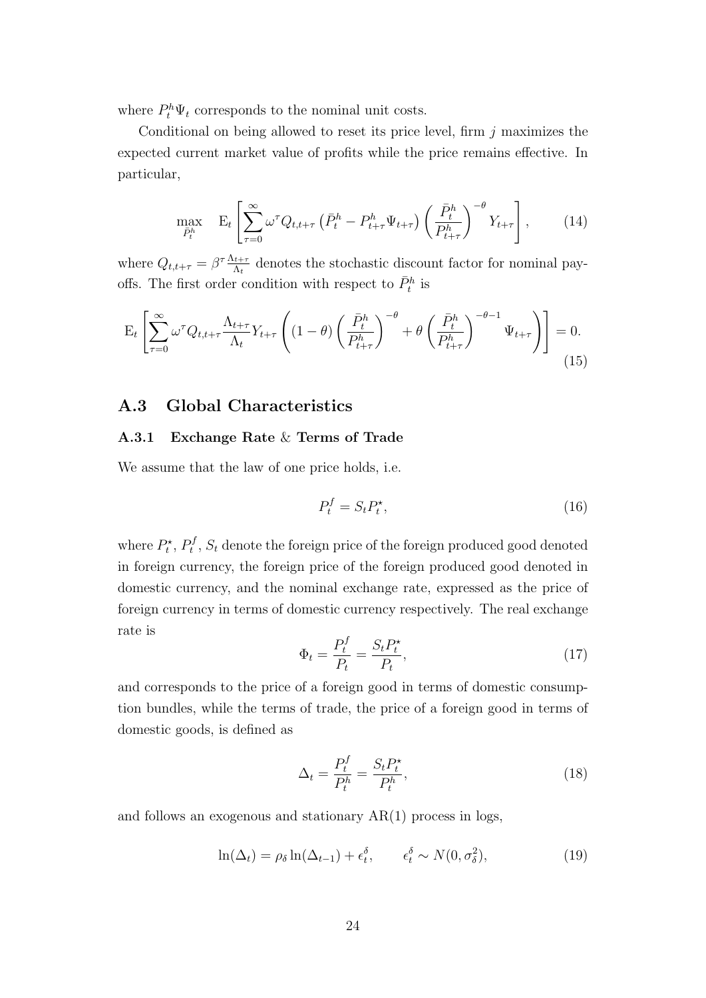where  $P_t^h \Psi_t$  corresponds to the nominal unit costs.

Conditional on being allowed to reset its price level, firm  $j$  maximizes the expected current market value of profits while the price remains effective. In particular,

$$
\max_{\bar{P}_t^h} \quad \mathbf{E}_t \left[ \sum_{\tau=0}^{\infty} \omega^{\tau} Q_{t,t+\tau} \left( \bar{P}_t^h - P_{t+\tau}^h \Psi_{t+\tau} \right) \left( \frac{\bar{P}_t^h}{P_{t+\tau}^h} \right)^{-\theta} Y_{t+\tau} \right], \tag{14}
$$

where  $Q_{t,t+\tau} = \beta^{\tau} \frac{\Lambda_{t+\tau}}{\Lambda_t}$  $\frac{dt+\tau}{\Lambda_t}$  denotes the stochastic discount factor for nominal payoffs. The first order condition with respect to  $\bar{P}_t^h$  is

$$
\mathcal{E}_t \left[ \sum_{\tau=0}^{\infty} \omega^{\tau} Q_{t,t+\tau} \frac{\Lambda_{t+\tau}}{\Lambda_t} Y_{t+\tau} \left( (1-\theta) \left( \frac{\bar{P}_t^h}{P_{t+\tau}^h} \right)^{-\theta} + \theta \left( \frac{\bar{P}_t^h}{P_{t+\tau}^h} \right)^{-\theta-1} \Psi_{t+\tau} \right) \right] = 0. \tag{15}
$$

#### A.3 Global Characteristics

#### A.3.1 Exchange Rate & Terms of Trade

We assume that the law of one price holds, i.e.

$$
P_t^f = S_t P_t^\star,\tag{16}
$$

where  $P_t^{\star}$ ,  $P_t^f$  $t^{J}_{t}$ ,  $S_{t}$  denote the foreign price of the foreign produced good denoted in foreign currency, the foreign price of the foreign produced good denoted in domestic currency, and the nominal exchange rate, expressed as the price of foreign currency in terms of domestic currency respectively. The real exchange rate is

$$
\Phi_t = \frac{P_t^f}{P_t} = \frac{S_t P_t^{\star}}{P_t},\tag{17}
$$

and corresponds to the price of a foreign good in terms of domestic consumption bundles, while the terms of trade, the price of a foreign good in terms of domestic goods, is defined as

$$
\Delta_t = \frac{P_t^f}{P_t^h} = \frac{S_t P_t^{\star}}{P_t^h},\tag{18}
$$

and follows an exogenous and stationary AR(1) process in logs,

$$
\ln(\Delta_t) = \rho_\delta \ln(\Delta_{t-1}) + \epsilon_t^\delta, \qquad \epsilon_t^\delta \sim N(0, \sigma_\delta^2), \tag{19}
$$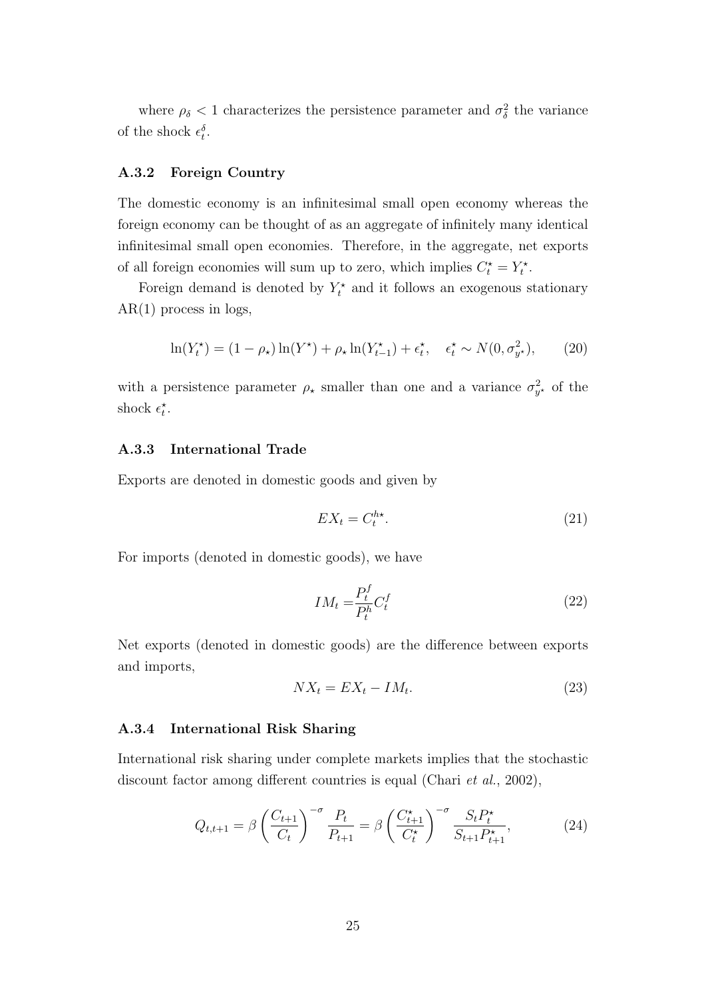where  $\rho_{\delta} < 1$  characterizes the persistence parameter and  $\sigma_{\delta}^2$  the variance of the shock  $\epsilon_t^{\delta}$ .

#### A.3.2 Foreign Country

The domestic economy is an infinitesimal small open economy whereas the foreign economy can be thought of as an aggregate of infinitely many identical infinitesimal small open economies. Therefore, in the aggregate, net exports of all foreign economies will sum up to zero, which implies  $C_t^* = Y_t^*$ .

Foreign demand is denoted by  $Y_t^*$  and it follows an exogenous stationary  $AR(1)$  process in logs,

$$
\ln(Y_t^*) = (1 - \rho_*) \ln(Y^*) + \rho_* \ln(Y_{t-1}^*) + \epsilon_t^*, \quad \epsilon_t^* \sim N(0, \sigma_{y^*}^2), \tag{20}
$$

with a persistence parameter  $\rho_{\star}$  smaller than one and a variance  $\sigma_{y^*}^2$  of the shock  $\epsilon_t^*$ .

#### A.3.3 International Trade

Exports are denoted in domestic goods and given by

$$
EX_t = C_t^{h\star}.\tag{21}
$$

For imports (denoted in domestic goods), we have

$$
IM_t = \frac{P_t^f}{P_t^h} C_t^f \tag{22}
$$

Net exports (denoted in domestic goods) are the difference between exports and imports,

$$
NX_t = EX_t - IM_t. \tag{23}
$$

#### A.3.4 International Risk Sharing

International risk sharing under complete markets implies that the stochastic discount factor among different countries is equal (Chari *et al.*, 2002),

$$
Q_{t,t+1} = \beta \left(\frac{C_{t+1}}{C_t}\right)^{-\sigma} \frac{P_t}{P_{t+1}} = \beta \left(\frac{C_{t+1}^{\star}}{C_t^{\star}}\right)^{-\sigma} \frac{S_t P_t^{\star}}{S_{t+1} P_{t+1}^{\star}},
$$
(24)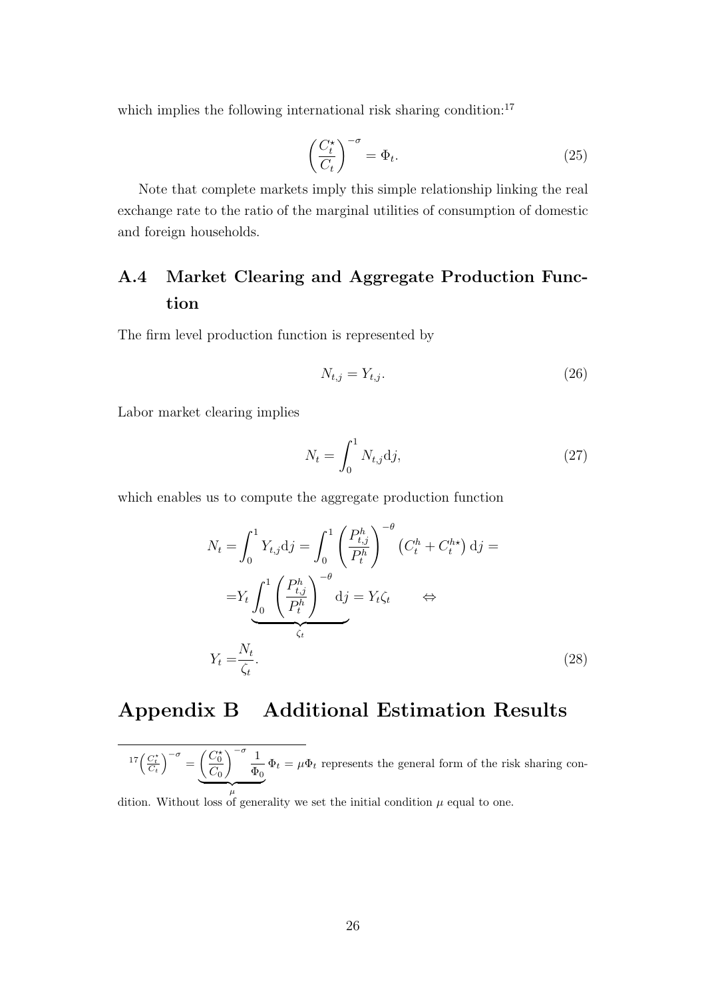which implies the following international risk sharing condition: $17$ 

$$
\left(\frac{C_t^{\star}}{C_t}\right)^{-\sigma} = \Phi_t.
$$
\n(25)

Note that complete markets imply this simple relationship linking the real exchange rate to the ratio of the marginal utilities of consumption of domestic and foreign households.

# A.4 Market Clearing and Aggregate Production Function

The firm level production function is represented by

$$
N_{t,j} = Y_{t,j}.\tag{26}
$$

Labor market clearing implies

$$
N_t = \int_0^1 N_{t,j} \mathrm{d}j,\tag{27}
$$

which enables us to compute the aggregate production function

$$
N_t = \int_0^1 Y_{t,j} \mathrm{d}j = \int_0^1 \left(\frac{P_{t,j}^h}{P_t^h}\right)^{-\theta} \left(C_t^h + C_t^{h*}\right) \mathrm{d}j =
$$
  

$$
= Y_t \int_0^1 \left(\frac{P_{t,j}^h}{P_t^h}\right)^{-\theta} \mathrm{d}j = Y_t \zeta_t \qquad \Leftrightarrow
$$
  

$$
Y_t = \frac{N_t}{\zeta_t}.
$$
 (28)

# Appendix B Additional Estimation Results

$$
{}^{17}\left(\frac{C_t^*}{C_t}\right)^{-\sigma} = \underbrace{\left(\frac{C_0^*}{C_0}\right)^{-\sigma} \frac{1}{\Phi_0} \Phi_t}_{\mu} = \mu \Phi_t
$$
 represents the general form of the risk sharing con-

dition. Without loss of generality we set the initial condition  $\mu$  equal to one.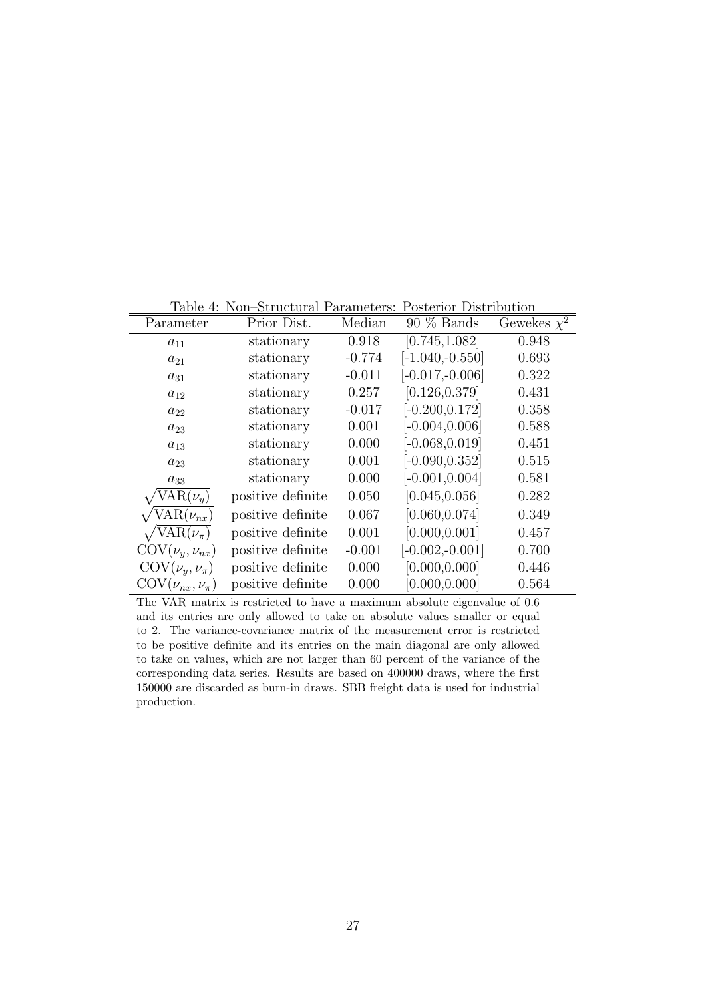| Table 4: Non-Structural Parameters: Posterior Distribution |  |  |
|------------------------------------------------------------|--|--|
|                                                            |  |  |

| Parameter                             | Prior Dist.       | Median   | $90\%$ Bands      | Gewekes $\chi^2$ |
|---------------------------------------|-------------------|----------|-------------------|------------------|
| $a_{11}$                              | stationary        | 0.918    | [0.745, 1.082]    | 0.948            |
| $a_{21}$                              | stationary        | $-0.774$ | $[-1.040,-0.550]$ | 0.693            |
| $a_{31}$                              | stationary        | $-0.011$ | $[-0.017,-0.006]$ | 0.322            |
| $a_{12}$                              | stationary        | 0.257    | [0.126, 0.379]    | 0.431            |
| $a_{22}$                              | stationary        | $-0.017$ | $[-0.200, 0.172]$ | 0.358            |
| $a_{23}$                              | stationary        | 0.001    | $[-0.004, 0.006]$ | 0.588            |
| $a_{13}$                              | stationary        | 0.000    | $[-0.068, 0.019]$ | 0.451            |
| $a_{23}$                              | stationary        | 0.001    | $[-0.090, 0.352]$ | 0.515            |
| $a_{33}$                              | stationary        | 0.000    | $[-0.001, 0.004]$ | 0.581            |
| $VAR(\nu_y)$                          | positive definite | 0.050    | [0.045, 0.056]    | 0.282            |
| $VAR(\nu_{nx})$                       | positive definite | 0.067    | [0.060, 0.074]    | 0.349            |
| $\sqrt{\text{VAR}(\nu_{\pi})}$        | positive definite | 0.001    | [0.000, 0.001]    | 0.457            |
| $\text{COV}(\nu_y, \nu_{nx})$         | positive definite | $-0.001$ | $[-0.002,-0.001]$ | 0.700            |
| $\mathrm{COV}(\nu_{\rm u},\nu_{\pi})$ | positive definite | 0.000    | [0.000, 0.000]    | 0.446            |
| $\text{COV}(\nu_{nx},\nu_{\pi})$      | positive definite | 0.000    | [0.000, 0.000]    | 0.564            |

The VAR matrix is restricted to have a maximum absolute eigenvalue of 0.6 and its entries are only allowed to take on absolute values smaller or equal to 2. The variance-covariance matrix of the measurement error is restricted to be positive definite and its entries on the main diagonal are only allowed to take on values, which are not larger than 60 percent of the variance of the corresponding data series. Results are based on 400000 draws, where the first 150000 are discarded as burn-in draws. SBB freight data is used for industrial production.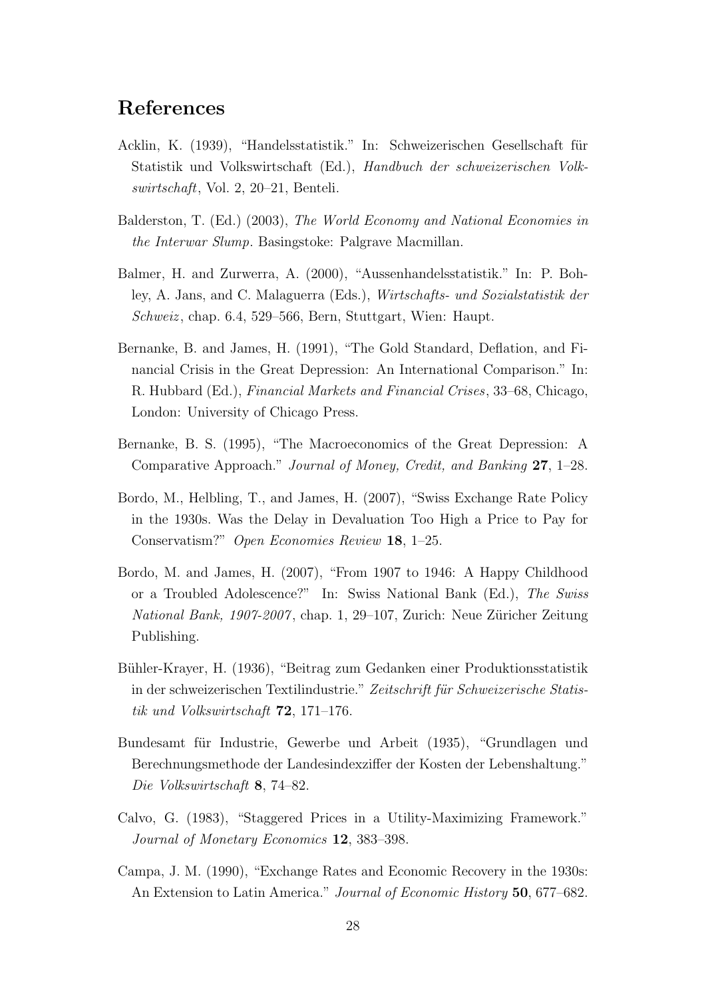# References

- Acklin, K. (1939), "Handelsstatistik." In: Schweizerischen Gesellschaft für Statistik und Volkswirtschaft (Ed.), Handbuch der schweizerischen Volkswirtschaft, Vol. 2, 20–21, Benteli.
- Balderston, T. (Ed.) (2003), The World Economy and National Economies in the Interwar Slump. Basingstoke: Palgrave Macmillan.
- Balmer, H. and Zurwerra, A. (2000), "Aussenhandelsstatistik." In: P. Bohley, A. Jans, and C. Malaguerra (Eds.), Wirtschafts- und Sozialstatistik der Schweiz , chap. 6.4, 529–566, Bern, Stuttgart, Wien: Haupt.
- Bernanke, B. and James, H. (1991), "The Gold Standard, Deflation, and Financial Crisis in the Great Depression: An International Comparison." In: R. Hubbard (Ed.), Financial Markets and Financial Crises, 33–68, Chicago, London: University of Chicago Press.
- Bernanke, B. S. (1995), "The Macroeconomics of the Great Depression: A Comparative Approach." Journal of Money, Credit, and Banking 27, 1–28.
- Bordo, M., Helbling, T., and James, H. (2007), "Swiss Exchange Rate Policy in the 1930s. Was the Delay in Devaluation Too High a Price to Pay for Conservatism?" Open Economies Review 18, 1–25.
- Bordo, M. and James, H. (2007), "From 1907 to 1946: A Happy Childhood or a Troubled Adolescence?" In: Swiss National Bank (Ed.), The Swiss National Bank, 1907-2007, chap. 1, 29–107, Zurich: Neue Züricher Zeitung Publishing.
- Bühler-Krayer, H. (1936), "Beitrag zum Gedanken einer Produktionsstatistik in der schweizerischen Textilindustrie." Zeitschrift für Schweizerische Statistik und Volkswirtschaft 72, 171–176.
- Bundesamt für Industrie, Gewerbe und Arbeit (1935), "Grundlagen und Berechnungsmethode der Landesindexziffer der Kosten der Lebenshaltung." Die Volkswirtschaft 8, 74–82.
- Calvo, G. (1983), "Staggered Prices in a Utility-Maximizing Framework." Journal of Monetary Economics 12, 383–398.
- Campa, J. M. (1990), "Exchange Rates and Economic Recovery in the 1930s: An Extension to Latin America." Journal of Economic History 50, 677–682.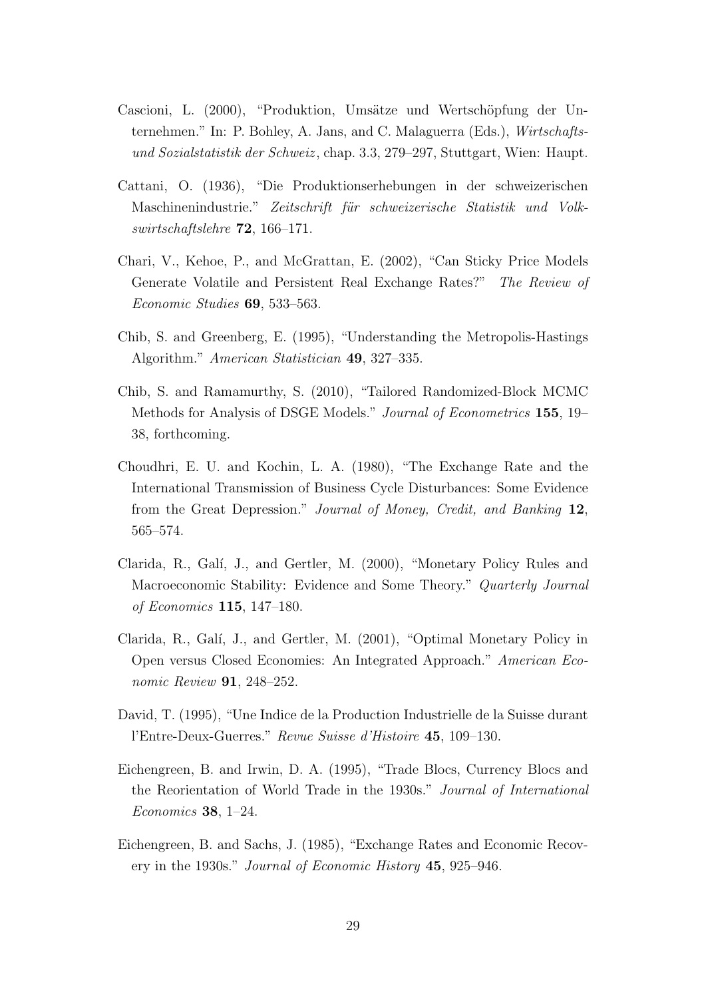- Cascioni, L. (2000), "Produktion, Umsätze und Wertschöpfung der Unternehmen." In: P. Bohley, A. Jans, and C. Malaguerra (Eds.), Wirtschaftsund Sozialstatistik der Schweiz , chap. 3.3, 279–297, Stuttgart, Wien: Haupt.
- Cattani, O. (1936), "Die Produktionserhebungen in der schweizerischen Maschinenindustrie." Zeitschrift für schweizerische Statistik und Volkswirtschaftslehre 72, 166–171.
- Chari, V., Kehoe, P., and McGrattan, E. (2002), "Can Sticky Price Models Generate Volatile and Persistent Real Exchange Rates?" The Review of Economic Studies 69, 533–563.
- Chib, S. and Greenberg, E. (1995), "Understanding the Metropolis-Hastings Algorithm." American Statistician 49, 327–335.
- Chib, S. and Ramamurthy, S. (2010), "Tailored Randomized-Block MCMC Methods for Analysis of DSGE Models." Journal of Econometrics 155, 19– 38, forthcoming.
- Choudhri, E. U. and Kochin, L. A. (1980), "The Exchange Rate and the International Transmission of Business Cycle Disturbances: Some Evidence from the Great Depression." Journal of Money, Credit, and Banking 12, 565–574.
- Clarida, R., Galí, J., and Gertler, M. (2000), "Monetary Policy Rules and Macroeconomic Stability: Evidence and Some Theory." Quarterly Journal of Economics 115, 147–180.
- Clarida, R., Galí, J., and Gertler, M. (2001), "Optimal Monetary Policy in Open versus Closed Economies: An Integrated Approach." American Economic Review 91, 248–252.
- David, T. (1995), "Une Indice de la Production Industrielle de la Suisse durant l'Entre-Deux-Guerres." Revue Suisse d'Histoire 45, 109–130.
- Eichengreen, B. and Irwin, D. A. (1995), "Trade Blocs, Currency Blocs and the Reorientation of World Trade in the 1930s." Journal of International Economics 38, 1–24.
- Eichengreen, B. and Sachs, J. (1985), "Exchange Rates and Economic Recovery in the 1930s." Journal of Economic History 45, 925–946.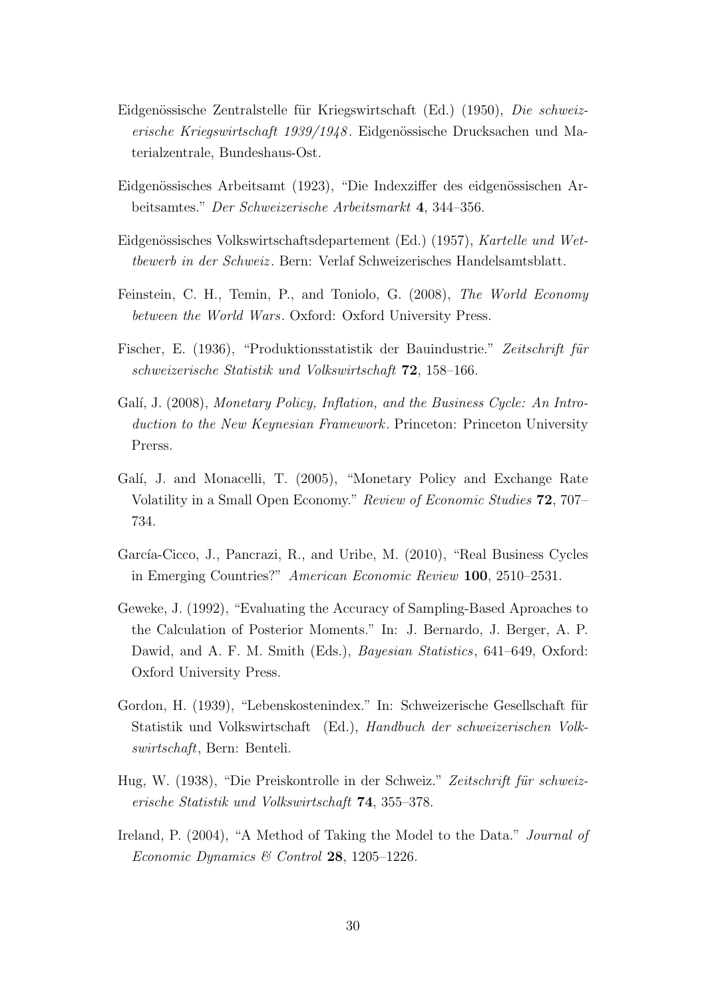- Eidgenössische Zentralstelle für Kriegswirtschaft (Ed.) (1950), Die schweizerische Kriegswirtschaft 1939/1948. Eidgenössische Drucksachen und Materialzentrale, Bundeshaus-Ost.
- Eidgenössisches Arbeitsamt (1923), "Die Indexziffer des eidgenössischen Arbeitsamtes." Der Schweizerische Arbeitsmarkt 4, 344–356.
- Eidgenössisches Volkswirtschaftsdepartement (Ed.) (1957), Kartelle und Wettbewerb in der Schweiz . Bern: Verlaf Schweizerisches Handelsamtsblatt.
- Feinstein, C. H., Temin, P., and Toniolo, G. (2008), The World Economy between the World Wars. Oxford: Oxford University Press.
- Fischer, E. (1936), "Produktionsstatistik der Bauindustrie." Zeitschrift für schweizerische Statistik und Volkswirtschaft 72, 158–166.
- Galí, J. (2008), Monetary Policy, Inflation, and the Business Cycle: An Introduction to the New Keynesian Framework. Princeton: Princeton University Prerss.
- Galí, J. and Monacelli, T. (2005), "Monetary Policy and Exchange Rate Volatility in a Small Open Economy." Review of Economic Studies 72, 707– 734.
- García-Cicco, J., Pancrazi, R., and Uribe, M. (2010), "Real Business Cycles in Emerging Countries?" American Economic Review 100, 2510–2531.
- Geweke, J. (1992), "Evaluating the Accuracy of Sampling-Based Aproaches to the Calculation of Posterior Moments." In: J. Bernardo, J. Berger, A. P. Dawid, and A. F. M. Smith (Eds.), *Bayesian Statistics*, 641–649, Oxford: Oxford University Press.
- Gordon, H. (1939), "Lebenskostenindex." In: Schweizerische Gesellschaft für Statistik und Volkswirtschaft (Ed.), Handbuch der schweizerischen Volkswirtschaft, Bern: Benteli.
- Hug, W. (1938), "Die Preiskontrolle in der Schweiz." Zeitschrift für schweizerische Statistik und Volkswirtschaft 74, 355–378.
- Ireland, P. (2004), "A Method of Taking the Model to the Data." *Journal of* Economic Dynamics & Control 28, 1205–1226.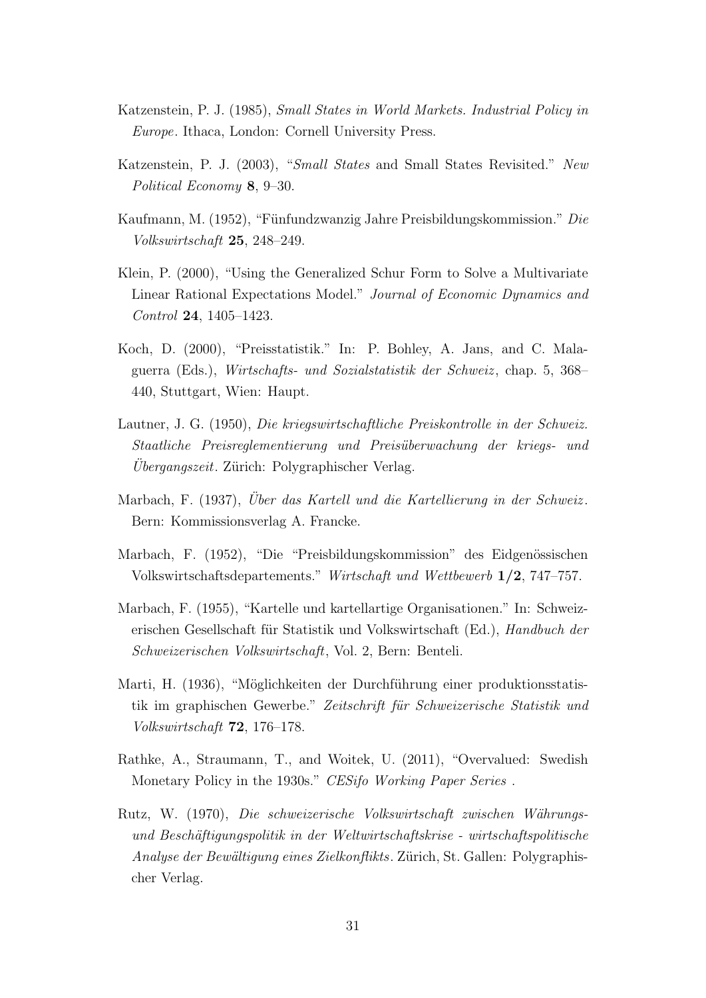- Katzenstein, P. J. (1985), Small States in World Markets. Industrial Policy in Europe. Ithaca, London: Cornell University Press.
- Katzenstein, P. J. (2003), "Small States and Small States Revisited." New Political Economy 8, 9–30.
- Kaufmann, M. (1952), "Fünfundzwanzig Jahre Preisbildungskommission." Die Volkswirtschaft 25, 248–249.
- Klein, P. (2000), "Using the Generalized Schur Form to Solve a Multivariate Linear Rational Expectations Model." Journal of Economic Dynamics and Control 24, 1405–1423.
- Koch, D. (2000), "Preisstatistik." In: P. Bohley, A. Jans, and C. Malaguerra (Eds.), Wirtschafts- und Sozialstatistik der Schweiz , chap. 5, 368– 440, Stuttgart, Wien: Haupt.
- Lautner, J. G. (1950), Die kriegswirtschaftliche Preiskontrolle in der Schweiz. Staatliche Preisreglementierung und Preis¨uberwachung der kriegs- und Ubergangszeit. Zürich: Polygraphischer Verlag.
- Marbach, F. (1937), Uber das Kartell und die Kartellierung in der Schweiz. Bern: Kommissionsverlag A. Francke.
- Marbach, F. (1952), "Die "Preisbildungskommission" des Eidgenössischen Volkswirtschaftsdepartements." Wirtschaft und Wettbewerb 1/2, 747–757.
- Marbach, F. (1955), "Kartelle und kartellartige Organisationen." In: Schweizerischen Gesellschaft für Statistik und Volkswirtschaft (Ed.), Handbuch der Schweizerischen Volkswirtschaft, Vol. 2, Bern: Benteli.
- Marti, H. (1936), "Möglichkeiten der Durchführung einer produktionsstatistik im graphischen Gewerbe." Zeitschrift für Schweizerische Statistik und Volkswirtschaft 72, 176–178.
- Rathke, A., Straumann, T., and Woitek, U. (2011), "Overvalued: Swedish Monetary Policy in the 1930s." CESifo Working Paper Series.
- Rutz, W. (1970), Die schweizerische Volkswirtschaft zwischen Währungsund Beschäftigungspolitik in der Weltwirtschaftskrise - wirtschaftspolitische Analyse der Bewältigung eines Zielkonflikts. Zürich, St. Gallen: Polygraphischer Verlag.